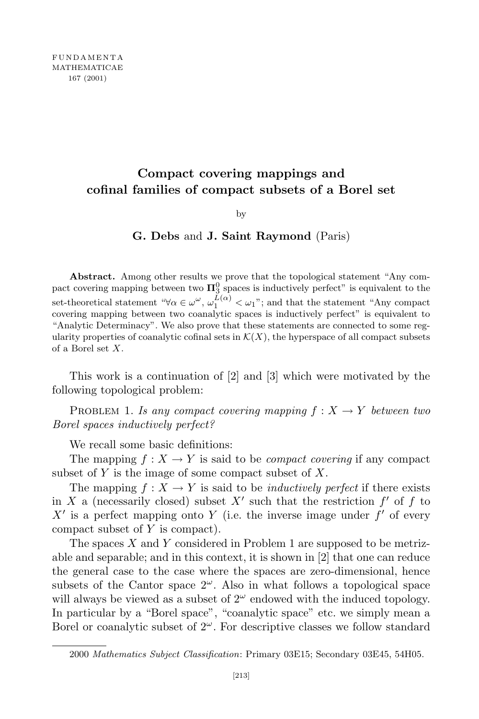### **Compact covering mappings and cofinal families of compact subsets of a Borel set**

by

**G. Debs** and **J. Saint Raymond** (Paris)

**Abstract.** Among other results we prove that the topological statement "Any compact covering mapping between two  $\Pi_3^0$  spaces is inductively perfect" is equivalent to the 3 set-theoretical statement " $\forall \alpha \in \omega^{\omega}, \omega_1^{L(\alpha)} < \omega_1$ "; and that the statement "Any compact" covering mapping between two coanalytic spaces is inductively perfect" is equivalent to "Analytic Determinacy". We also prove that these statements are connected to some regularity properties of coanalytic cofinal sets in  $\mathcal{K}(X)$ , the hyperspace of all compact subsets of a Borel set *X*.

This work is a continuation of [2] and [3] which were motivated by the following topological problem:

PROBLEM 1. *Is any compact covering mapping*  $f: X \rightarrow Y$  *between two Borel spaces inductively perfect?*

We recall some basic definitions:

The mapping  $f: X \to Y$  is said to be *compact covering* if any compact subset of *Y* is the image of some compact subset of *X*.

The mapping  $f: X \to Y$  is said to be *inductively perfect* if there exists in *X* a (necessarily closed) subset  $X'$  such that the restriction  $f'$  of  $f$  to  $X'$  is a perfect mapping onto *Y* (i.e. the inverse image under  $f'$  of every compact subset of *Y* is compact).

The spaces *X* and *Y* considered in Problem 1 are supposed to be metrizable and separable; and in this context, it is shown in [2] that one can reduce the general case to the case where the spaces are zero-dimensional, hence subsets of the Cantor space  $2^{\omega}$ . Also in what follows a topological space will always be viewed as a subset of  $2^{\omega}$  endowed with the induced topology. In particular by a "Borel space", "coanalytic space" etc. we simply mean a Borel or coanalytic subset of  $2^{\omega}$ . For descriptive classes we follow standard

<sup>2000</sup> *Mathematics Subject Classification*: Primary 03E15; Secondary 03E45, 54H05.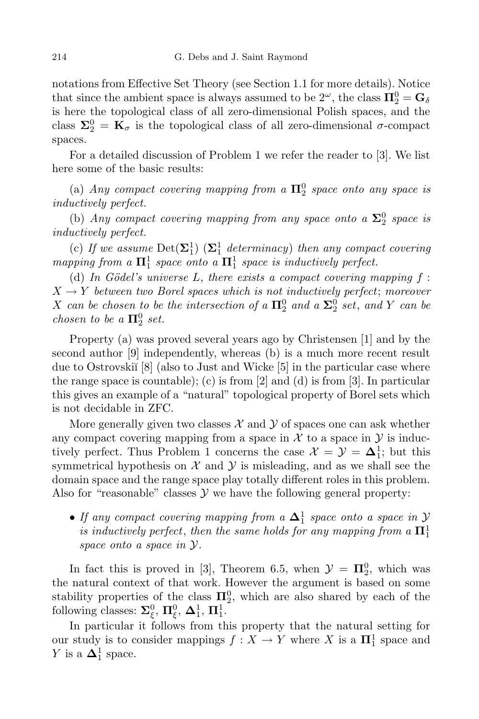notations from Effective Set Theory (see Section 1.1 for more details). Notice that since the ambient space is always assumed to be  $2^{\omega}$ , the class  $\Pi_2^0 = G_{\delta}$ is here the topological class of all zero-dimensional Polish spaces, and the class  $\Sigma_2^0 = \mathbf{K}_{\sigma}$  is the topological class of all zero-dimensional  $\sigma$ -compact spaces.

For a detailed discussion of Problem 1 we refer the reader to [3]. We list here some of the basic results:

(a) *Any compact covering mapping from*  $a \Pi_2^0$  *space onto any space is inductively perfect.*

(b) *Any compact covering mapping from any space onto*  $a \Sigma_2^0$  *space is inductively perfect.*

(c) If we assume  $Det(\Sigma_1^1)$   $(\Sigma_1^1$  determinacy) then any compact covering *mapping* from a  $\Pi_1^1$  space onto a  $\Pi_1^1$  space is inductively perfect.

(d) In Gödel's universe L, there exists a compact covering mapping  $f$ :  $X \rightarrow Y$  *between two Borel spaces which is not inductively perfect; moreover X can be chosen to be the intersection of a*  $\Pi_2^0$  *and a*  $\Sigma_2^0$  *set*, *and Y can be chosen to be*  $a \prod_{2}^{0} set.$ 

Property (a) was proved several years ago by Christensen [1] and by the second author [9] independently, whereas (b) is a much more recent result due to Ostrovskiı̆ $[8]$  (also to Just and Wicke  $[5]$  in the particular case where the range space is countable); (c) is from [2] and (d) is from [3]. In particular this gives an example of a "natural" topological property of Borel sets which is not decidable in ZFC.

More generally given two classes  $\mathcal X$  and  $\mathcal Y$  of spaces one can ask whether any compact covering mapping from a space in  $\mathcal X$  to a space in  $\mathcal Y$  is inductively perfect. Thus Problem 1 concerns the case  $\mathcal{X} = \mathcal{Y} = \Delta_1^1$ ; but this symmetrical hypothesis on  $X$  and  $Y$  is misleading, and as we shall see the domain space and the range space play totally different roles in this problem. Also for "reasonable" classes  $\mathcal Y$  we have the following general property:

*• If any compact covering mapping from <sup>a</sup>* **<sup>∆</sup>**<sup>1</sup> 1 *space onto a space in Y*  $\overline{\textbf{a}}$  *is inductively perfect, then the same holds for any mapping from*  $\overline{\textbf{a}}$   $\overline{\textbf{H}}$ <sup>1</sup> *space onto a space in Y.*

In fact this is proved in [3], Theorem 6.5, when  $\mathcal{Y} = \Pi_2^0$ , which was the natural context of that work. However the argument is based on some stability properties of the class  $\Pi_2^0$ , which are also shared by each of the following classes:  $\Sigma_{\xi}^{0}$ ,  $\Pi_{\xi}^{0}$ ,  $\Delta_{1}^{1}$ ,  $\Pi_{1}^{1}$ .

In particular it follows from this property that the natural setting for our study is to consider mappings  $f : X \to Y$  where *X* is a  $\mathbf{\Pi}^1_1$  space and *Y* is a  $\Delta_1^1$  space.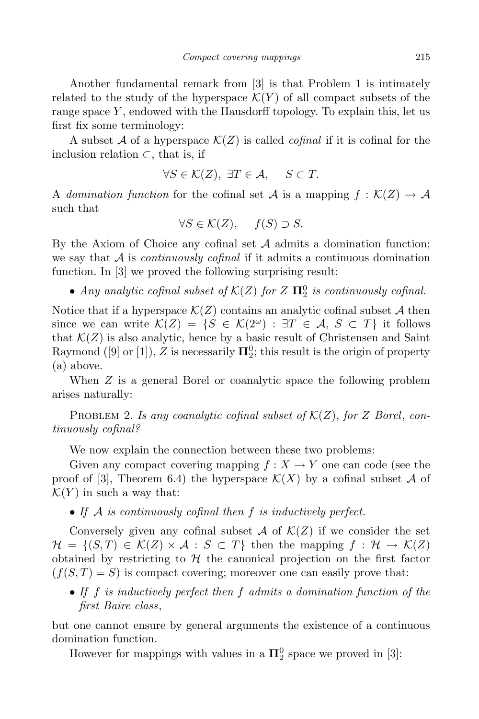Another fundamental remark from [3] is that Problem 1 is intimately related to the study of the hyperspace  $\mathcal{K}(Y)$  of all compact subsets of the range space *Y* , endowed with the Hausdorff topology. To explain this, let us first fix some terminology:

A subset A of a hyperspace  $\mathcal{K}(Z)$  is called *cofinal* if it is cofinal for the inclusion relation *⊂*, that is, if

$$
\forall S \in \mathcal{K}(Z), \ \exists T \in \mathcal{A}, \quad S \subset T.
$$

A *domination* function for the cofinal set A is a mapping  $f : K(Z) \to \mathcal{A}$ such that

$$
\forall S \in \mathcal{K}(Z), \quad f(S) \supset S.
$$

By the Axiom of Choice any cofinal set  $A$  admits a domination function; we say that *A* is *continuously cofinal* if it admits a continuous domination function. In [3] we proved the following surprising result:

*• Any analytic cofinal subset of <sup>K</sup>*(*Z*) *for <sup>Z</sup>* **<sup>Π</sup>**<sup>0</sup> 2 *is continuously cofinal.*

Notice that if a hyperspace  $\mathcal{K}(Z)$  contains an analytic cofinal subset A then since we can write  $\mathcal{K}(Z) = \{S \in \mathcal{K}(2^{\omega}) : \exists T \in \mathcal{A}, S \subset T\}$  it follows that  $K(Z)$  is also analytic, hence by a basic result of Christensen and Saint Raymond ([9] or [1]),  $Z$  is necessarily  $\Pi_2^0$ ; this result is the origin of property (a) above.

When *Z* is a general Borel or coanalytic space the following problem arises naturally:

PROBLEM 2. *Is any coanalytic cofinal subset of*  $K(Z)$ , *for Z Borel*, *continuously cofinal?*

We now explain the connection between these two problems:

Given any compact covering mapping  $f: X \to Y$  one can code (see the proof of [3], Theorem 6.4) the hyperspace  $\mathcal{K}(X)$  by a cofinal subset A of  $\mathcal{K}(Y)$  in such a way that:

*• If A is continuously cofinal then f is inductively perfect.*

Conversely given any cofinal subset  $A$  of  $K(Z)$  if we consider the set  $\mathcal{H} = \{ (S,T) \in \mathcal{K}(Z) \times \mathcal{A} : S \subset T \}$  then the mapping  $f : \mathcal{H} \to \mathcal{K}(Z)$ obtained by restricting to  $H$  the canonical projection on the first factor  $(f(S,T) = S)$  is compact covering; moreover one can easily prove that:

*• If f is inductively perfect then f admits a domination function of the first Baire class*,

but one cannot ensure by general arguments the existence of a continuous domination function.

However for mappings with values in a  $\Pi_2^0$  space we proved in [3]: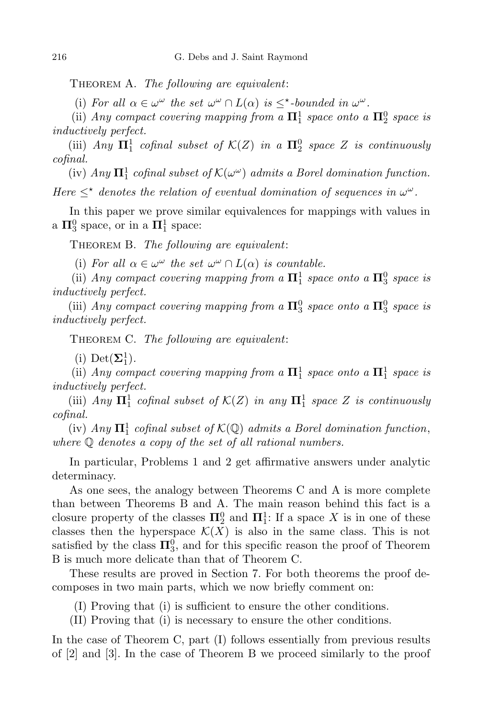Theorem A. *The following are equivalent*:

(i) For all  $\alpha \in \omega^{\omega}$  the set  $\omega^{\omega} \cap L(\alpha)$  is  $\leq^{\star}$ -bounded in  $\omega^{\omega}$ .

(ii) *Any compact covering* mapping from a  $\Pi_1^1$  *space onto* a  $\Pi_2^0$  *space is inductively perfect.*

 $(iii)$  *Any*  $\Pi_1^1$  *cofinal subset of*  $K(Z)$  *in a*  $\Pi_2^0$  *space Z is continuously cofinal.*

 $(iv)$  *Any*  $\mathbf{\Pi}^1_1$  *cofinal subset of*  $\mathcal{K}(\omega^{\omega})$  *admits a Borel domination function. Here*  $\leq^*$  *denotes the relation of eventual domination of sequences in*  $\omega^{\omega}$ *.* 

In this paper we prove similar equivalences for mappings with values in a  $\Pi^0_3$  space, or in a  $\Pi^1_1$  space:

Theorem B. *The following are equivalent*:

(i) For all  $\alpha \in \omega^{\omega}$  the set  $\omega^{\omega} \cap L(\alpha)$  is countable.

(ii) *Any compact covering* mapping from a  $\Pi_1^1$  *space onto* a  $\Pi_3^0$  *space is inductively perfect.*

(iii) *Any compact covering* mapping from a  $\Pi_3^0$  space onto a  $\Pi_3^0$  space is *inductively perfect.*

Theorem C. *The following are equivalent*:

(i) Det $(\mathbf{\Sigma}^1_1)$ .

(ii) *Any compact covering* mapping from a  $\Pi_1^1$  space onto a  $\Pi_1^1$  space is *inductively perfect.*

 $(iii)$  *Any*  $\Pi_1^1$  *cofinal subset of*  $K(Z)$  *in any*  $\Pi_1^1$  *space Z is continuously cofinal.*

 $(iv)$  *Any*  $\Pi_1^1$  *cofinal subset of*  $K(\mathbb{Q})$  *admits a Borel domination function*, *where* Q *denotes a copy of the set of all rational numbers.*

In particular, Problems 1 and 2 get affirmative answers under analytic determinacy.

As one sees, the analogy between Theorems C and A is more complete than between Theorems B and A. The main reason behind this fact is a closure property of the classes  $\Pi_2^0$  and  $\Pi_1^1$ : If a space X is in one of these classes then the hyperspace  $\mathcal{K}(X)$  is also in the same class. This is not satisfied by the class  $\Pi_3^0$ , and for this specific reason the proof of Theorem B is much more delicate than that of Theorem C.

These results are proved in Section 7. For both theorems the proof decomposes in two main parts, which we now briefly comment on:

(I) Proving that (i) is sufficient to ensure the other conditions.

(II) Proving that (i) is necessary to ensure the other conditions.

In the case of Theorem C, part (I) follows essentially from previous results of [2] and [3]. In the case of Theorem B we proceed similarly to the proof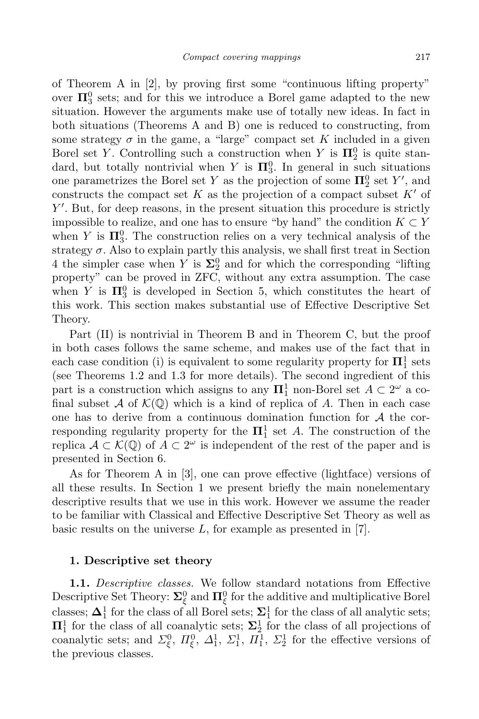of Theorem A in [2], by proving first some "continuous lifting property" over  $\Pi_3^0$  sets; and for this we introduce a Borel game adapted to the new situation. However the arguments make use of totally new ideas. In fact in both situations (Theorems A and B) one is reduced to constructing, from some strategy  $\sigma$  in the game, a "large" compact set K included in a given Borel set *Y*. Controlling such a construction when *Y* is  $\Pi_2^0$  is quite standard, but totally nontrivial when *Y* is  $\Pi_3^0$ . In general in such situations

one parametrizes the Borel set *Y* as the projection of some  $\Pi_2^0$  set *Y'*, and constructs the compact set  $K$  as the projection of a compact subset  $K'$  of *Y*<sup> $\prime$ </sup>. But, for deep reasons, in the present situation this procedure is strictly impossible to realize, and one has to ensure "by hand" the condition  $K \subset Y$ when *Y* is  $\Pi_3^0$ . The construction relies on a very technical analysis of the strategy  $\sigma$ . Also to explain partly this analysis, we shall first treat in Section 4 the simpler case when *Y* is  $\Sigma_2^0$  and for which the corresponding "lifting property" can be proved in ZFC, without any extra assumption. The case when *Y* is  $\Pi_3^0$  is developed in Section 5, which constitutes the heart of this work. This section makes substantial use of Effective Descriptive Set Theory.

Part (II) is nontrivial in Theorem B and in Theorem C, but the proof in both cases follows the same scheme, and makes use of the fact that in each case condition (i) is equivalent to some regularity property for  $\Pi_1^1$  sets (see Theorems 1.2 and 1.3 for more details). The second ingredient of this part is a construction which assigns to any  $\Pi_1^1$  non-Borel set  $A \subset 2^{\omega}$  a cofinal subset  $\mathcal A$  of  $\mathcal K(\mathbb Q)$  which is a kind of replica of  $A$ . Then in each case one has to derive from a continuous domination function for *A* the corresponding regularity property for the  $\Pi_1^1$  set *A*. The construction of the replica  $\mathcal{A} \subset \mathcal{K}(\mathbb{Q})$  of  $A \subset 2^{\omega}$  is independent of the rest of the paper and is presented in Section 6.

As for Theorem A in [3], one can prove effective (lightface) versions of all these results. In Section 1 we present briefly the main nonelementary descriptive results that we use in this work. However we assume the reader to be familiar with Classical and Effective Descriptive Set Theory as well as basic results on the universe *L*, for example as presented in [7].

#### **1. Descriptive set theory**

**1.1.** *Descriptive classes.* We follow standard notations from Effective Descriptive Set Theory:  $\Sigma_{\xi}^{0}$  and  $\Pi_{\xi}^{0}$  for the additive and multiplicative Borel classes;  $\mathbf{\Delta}^1_1$  for the class of all Borel sets;  $\mathbf{\Sigma}^1_1$  for the class of all analytic sets; **Π**<sup>1</sup><sub>1</sub> for the class of all coanalytic sets;  $\Sigma^1$ <sub>2</sub> for the class of all projections of coanalytic sets; and  $\Sigma_{\xi}^0$ ,  $\Pi_{\xi}^0$ ,  $\Delta_1^1$ ,  $\Sigma_1^1$ ,  $\Pi_1^1$ ,  $\Sigma_2^1$  for the effective versions of the previous classes.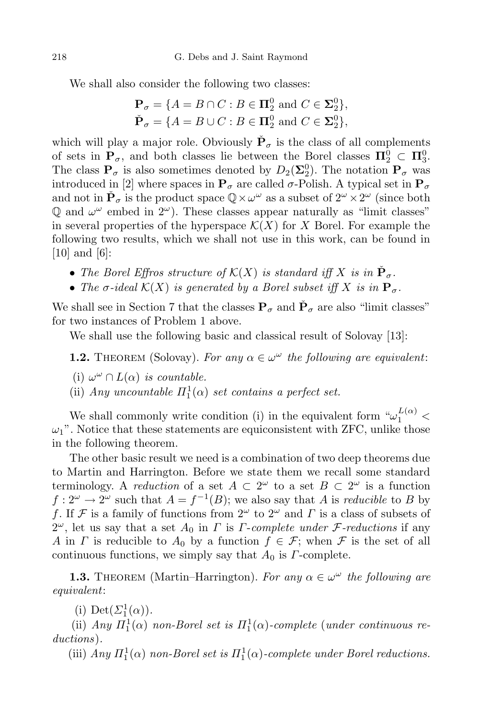We shall also consider the following two classes:

$$
\mathbf{P}_{\sigma} = \{ A = B \cap C : B \in \mathbf{\Pi}^0_2 \text{ and } C \in \mathbf{\Sigma}^0_2 \},
$$
  

$$
\check{\mathbf{P}}_{\sigma} = \{ A = B \cup C : B \in \mathbf{\Pi}^0_2 \text{ and } C \in \mathbf{\Sigma}^0_2 \},
$$

which will play a major role. Obviously  $\check{P}_{\sigma}$  is the class of all complements of sets in  $\mathbf{P}_{\sigma}$ , and both classes lie between the Borel classes  $\Pi_2^0 \subset \Pi_3^0$ . The class  $P_{\sigma}$  is also sometimes denoted by  $D_2(\Sigma_2^0)$ . The notation  $P_{\sigma}$  was introduced in [2] where spaces in  $P_\sigma$  are called  $\sigma$ -Polish. A typical set in  $P_\sigma$ and not in  $\tilde{\mathbf{P}}_{\sigma}$  is the product space  $\mathbb{Q}\times\omega^{\omega}$  as a subset of  $2^{\omega}\times 2^{\omega}$  (since both  $\mathbb{Q}$  and  $\omega^{\omega}$  embed in  $2^{\omega}$ ). These classes appear naturally as "limit classes" in several properties of the hyperspace  $\mathcal{K}(X)$  for *X* Borel. For example the following two results, which we shall not use in this work, can be found in [10] and [6]:

- *The Borel Effros structure of*  $K(X)$  *is standard iff*  $X$  *is in*  $\check{P}_{\sigma}$ *.*
- *The*  $\sigma$ -ideal  $\mathcal{K}(X)$  *is* generated by a Borel subset iff X is in  $\mathbf{P}_{\sigma}$ .

We shall see in Section 7 that the classes  $P_{\sigma}$  and  $\check{P}_{\sigma}$  are also "limit classes" for two instances of Problem 1 above.

We shall use the following basic and classical result of Solovay [13]:

**1.2.** THEOREM (Solovay). For any  $\alpha \in \omega^{\omega}$  the following are equivalent:

- $(i) \omega^{\omega} \cap L(\alpha)$  *is countable.*
- (ii) *Any uncountable*  $\Pi_1^1(\alpha)$  *set contains a perfect set.*

We shall commonly write condition (i) in the equivalent form  $\omega_1^{L(\alpha)}$  <  $\omega_1$ ". Notice that these statements are equiconsistent with ZFC, unlike those in the following theorem.

The other basic result we need is a combination of two deep theorems due to Martin and Harrington. Before we state them we recall some standard terminology. A *reduction* of a set  $A \subset 2^{\omega}$  to a set  $B \subset 2^{\omega}$  is a function  $f: 2^{\omega} \to 2^{\omega}$  such that  $A = f^{-1}(B)$ ; we also say that *A* is *reducible* to *B* by *f*. If *F* is a family of functions from 2 *<sup>ω</sup>* to 2 *<sup>ω</sup>* and *Γ* is a class of subsets of 2 *<sup>ω</sup>*, let us say that <sup>a</sup> set *<sup>A</sup>*<sup>0</sup> in *<sup>Γ</sup>* is *<sup>Γ</sup>*-*complete under <sup>F</sup>-reductions* if any *A* in *Γ* is reducible to  $A_0$  by a function  $f \in \mathcal{F}$ ; when  $\mathcal{F}$  is the set of all continuous functions, we simply say that *A*<sup>0</sup> is *Γ*-complete.

**1.3.** THEOREM (Martin–Harrington). For any  $\alpha \in \omega^{\omega}$  the following are *equivalent*:

(i) Det $(\Sigma_1^1(\alpha))$ .

(ii) *Any*  $\Pi_1^1(\alpha)$  *non-Borel set is*  $\Pi_1^1(\alpha)$ *-complete* (*under continuous reductions*)*.*

(iii)  $Any \Pi_1^1(\alpha)$  non-Borel set is  $\Pi_1^1(\alpha)$ -complete under Borel reductions.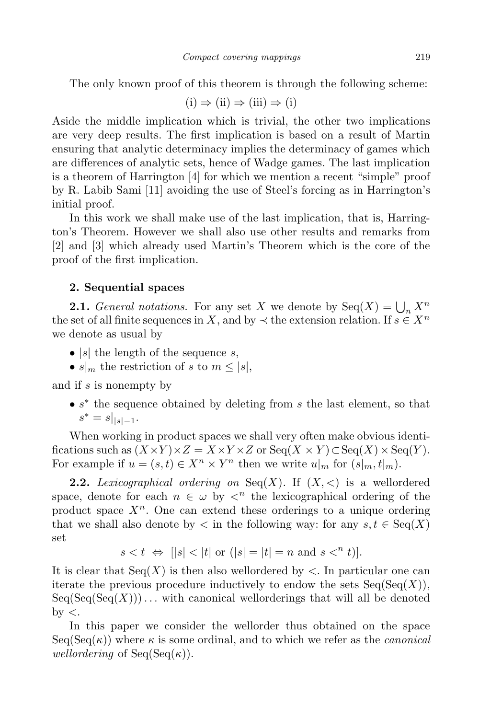The only known proof of this theorem is through the following scheme:

$$
(i) \Rightarrow (ii) \Rightarrow (iii) \Rightarrow (i)
$$

Aside the middle implication which is trivial, the other two implications are very deep results. The first implication is based on a result of Martin ensuring that analytic determinacy implies the determinacy of games which are differences of analytic sets, hence of Wadge games. The last implication is a theorem of Harrington [4] for which we mention a recent "simple" proof by R. Labib Sami [11] avoiding the use of Steel's forcing as in Harrington's initial proof.

In this work we shall make use of the last implication, that is, Harrington's Theorem. However we shall also use other results and remarks from [2] and [3] which already used Martin's Theorem which is the core of the proof of the first implication.

#### **2. Sequential spaces**

**2.1.** *General notations.* For any set *X* we denote by  $Seq(X) = \bigcup_n X^n$ the set of all finite sequences in *X*, and by  $\prec$  the extension relation. If  $s \in X^n$ we denote as usual by

- *• |s|* the length of the sequence *s*,
- $s|_m$  the restriction of *s* to  $m \leq |s|$ ,

and if *s* is nonempty by

*• s ∗* the sequence obtained by deleting from *s* the last element, so that  $s^* = s|_{|s|-1}$ .

When working in product spaces we shall very often make obvious identifications such as  $(X \times Y) \times Z = X \times Y \times Z$  or Seq $(X \times Y) \subset \text{Seq}(X) \times \text{Seq}(Y)$ . For example if  $u = (s, t) \in X^n \times Y^n$  then we write  $u|_m$  for  $(s|_m, t|_m)$ .

**2.2.** *Lexicographical ordering on* Seq(*X*). If  $(X, \leq)$  is a wellordered space, denote for each  $n \in \omega$  by  $\langle n \rangle$  the lexicographical ordering of the product space  $X^n$ . One can extend these orderings to a unique ordering that we shall also denote by  $\lt$  in the following way: for any  $s, t \in \text{Seq}(X)$ set

$$
s < t \Leftrightarrow [|s| < |t| \text{ or } (|s| = |t| = n \text{ and } s <^n t)].
$$

It is clear that  $Seq(X)$  is then also wellordered by  $\lt$ . In particular one can iterate the previous procedure inductively to endow the sets  $Seq(Seq(X))$ ,  $Seq(Seq(Seq(X)))\ldots$  with canonical wellorderings that will all be denoted by *<*.

In this paper we consider the wellorder thus obtained on the space  $Seq(Seq(\kappa))$  where  $\kappa$  is some ordinal, and to which we refer as the *canonical wellordering* of  $Seq(Seq(\kappa))$ .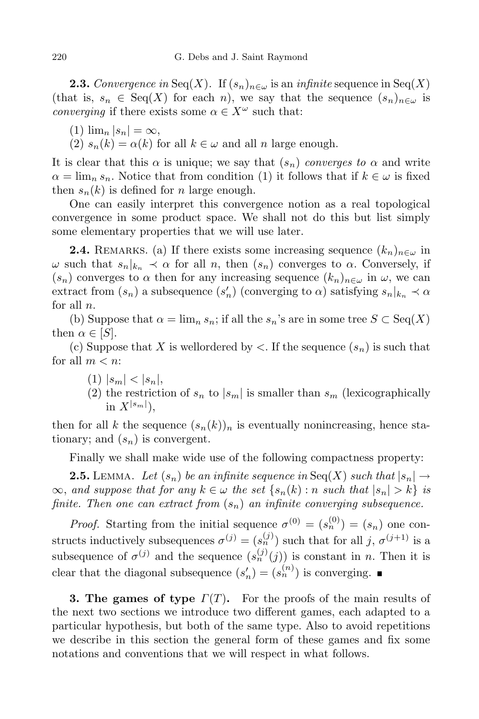**2.3.** *Convergence in* Seq(*X*). If  $(s_n)_{n \in \omega}$  is an *infinite* sequence in Seq(*X*) (that is,  $s_n \in \text{Seq}(X)$  for each *n*), we say that the sequence  $(s_n)_{n \in \omega}$  is *converging* if there exists some  $\alpha \in X^\omega$  such that:

 $(1)$   $\lim_{n} |s_n| = \infty$ ,

(2)  $s_n(k) = \alpha(k)$  for all  $k \in \omega$  and all *n* large enough.

It is clear that this  $\alpha$  is unique; we say that  $(s_n)$  *converges to*  $\alpha$  and write  $\alpha = \lim_{n \to \infty} s_n$ . Notice that from condition (1) it follows that if  $k \in \omega$  is fixed then  $s_n(k)$  is defined for *n* large enough.

One can easily interpret this convergence notion as a real topological convergence in some product space. We shall not do this but list simply some elementary properties that we will use later.

**2.4.** REMARKS. (a) If there exists some increasing sequence  $(k_n)_{n \in \omega}$  in *ω* such that  $s_n|_{k_n}$  *≺ α* for all *n*, then  $(s_n)$  converges to *α*. Conversely, if  $(s_n)$  converges to  $\alpha$  then for any increasing sequence  $(k_n)_{n \in \omega}$  in  $\omega$ , we can extract from  $(s_n)$  a subsequence  $(s'_n)$  (converging to  $\alpha$ ) satisfying  $s_n|_{k_n} \prec \alpha$ for all *n*.

(b) Suppose that  $\alpha = \lim_{n} s_n$ ; if all the  $s_n$ 's are in some tree  $S \subset \text{Seq}(X)$ then  $\alpha \in [S]$ .

(c) Suppose that X is wellordered by  $\lt$ . If the sequence  $(s_n)$  is such that for all  $m < n$ :

- $|s_m| < |s_n|$ ,
- (2) the restriction of  $s_n$  to  $|s_m|$  is smaller than  $s_m$  (lexicographically in  $X^{|s_m|}$ ),

then for all *k* the sequence  $(s_n(k))_n$  is eventually nonincreasing, hence stationary; and  $(s_n)$  is convergent.

Finally we shall make wide use of the following compactness property:

**2.5.** LEMMA. Let  $(s_n)$  be an infinite sequence in Seq(X) such that  $|s_n| \to$  $\infty$ , and suppose that for any  $k \in \omega$  the set  $\{s_n(k) : n \text{ such that } |s_n| > k\}$  is *finite. Then one can extract from* (*sn*) *an infinite converging subsequence.*

*Proof.* Starting from the initial sequence  $\sigma^{(0)} = (s_n^{(0)}) = (s_n)$  one constructs inductively subsequences  $\sigma^{(j)} = (s_n^{(j)})$  such that for all *j*,  $\sigma^{(j+1)}$  is a subsequence of  $\sigma^{(j)}$  and the sequence  $(s_n^{(j)}(j))$  is constant in *n*. Then it is clear that the diagonal subsequence  $(s'_n) = (s_n^{(n)})$  is converging.

**3. The games of type** *Γ*(*T*)**.** For the proofs of the main results of the next two sections we introduce two different games, each adapted to a particular hypothesis, but both of the same type. Also to avoid repetitions we describe in this section the general form of these games and fix some notations and conventions that we will respect in what follows.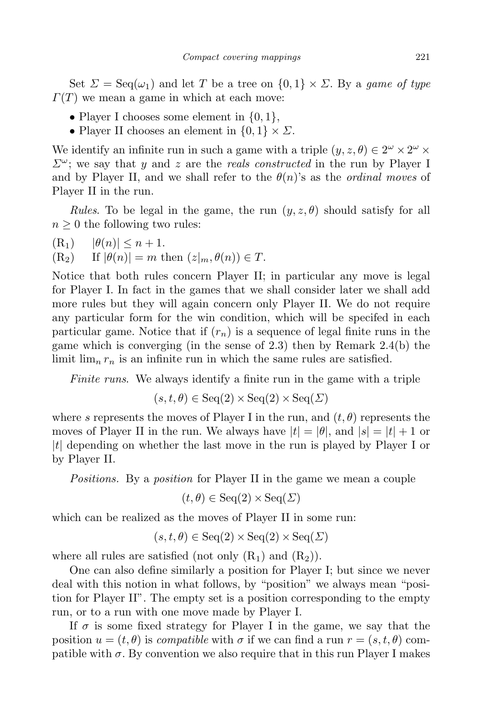Set  $\Sigma = \text{Seq}(\omega_1)$  and let *T* be a tree on  $\{0,1\} \times \Sigma$ . By a *game* of type *Γ*(*T*) we mean a game in which at each move:

- *•* Player I chooses some element in *{*0*,* 1*}*,
- Player II chooses an element in  $\{0, 1\} \times \Sigma$ .

We identify an infinite run in such a game with a triple  $(y, z, \theta) \in 2^{\omega} \times 2^{\omega} \times 2^{\omega}$ *Σω*; we say that *y* and *z* are the *reals constructed* in the run by Player I and by Player II, and we shall refer to the  $\theta(n)$ 's as the *ordinal moves* of Player II in the run.

*Rules*. To be legal in the game, the run  $(y, z, \theta)$  should satisfy for all  $n \geq 0$  the following two rules:

 $(R_1)$   $|\theta(n)| \leq n+1.$ <br>  $(R_2)$  If  $|\theta(n)| = m$  t.  $|f(\theta(n))| = m$  then  $(z|m, \theta(n)) \in T$ .

Notice that both rules concern Player II; in particular any move is legal for Player I. In fact in the games that we shall consider later we shall add more rules but they will again concern only Player II. We do not require any particular form for the win condition, which will be specifed in each particular game. Notice that if  $(r_n)$  is a sequence of legal finite runs in the game which is converging (in the sense of 2.3) then by Remark 2.4(b) the limit  $\lim_{n} r_n$  is an infinite run in which the same rules are satisfied.

*Finite runs*. We always identify a finite run in the game with a triple

$$
(s, t, \theta) \in \text{Seq}(2) \times \text{Seq}(2) \times \text{Seq}(\Sigma)
$$

where *s* represents the moves of Player I in the run, and  $(t, \theta)$  represents the moves of Player II in the run. We always have  $|t| = |\theta|$ , and  $|s| = |t| + 1$  or *|t|* depending on whether the last move in the run is played by Player I or by Player II.

*Positions.* By a *position* for Player II in the game we mean a couple

$$
(t, \theta) \in \text{Seq}(2) \times \text{Seq}(\Sigma)
$$

which can be realized as the moves of Player II in some run:

$$
(s, t, \theta) \in \text{Seq}(2) \times \text{Seq}(2) \times \text{Seq}(\Sigma)
$$

where all rules are satisfied (not only  $(R_1)$  and  $(R_2)$ ).

One can also define similarly a position for Player I; but since we never deal with this notion in what follows, by "position" we always mean "position for Player II". The empty set is a position corresponding to the empty run, or to a run with one move made by Player I.

If  $\sigma$  is some fixed strategy for Player I in the game, we say that the position  $u = (t, \theta)$  is *compatible* with  $\sigma$  if we can find a run  $r = (s, t, \theta)$  compatible with  $\sigma$ . By convention we also require that in this run Player I makes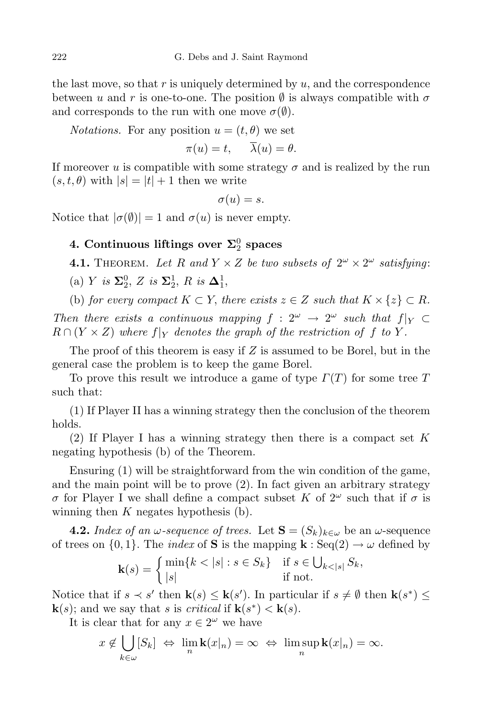the last move, so that *r* is uniquely determined by *u*, and the correspondence between *u* and *r* is one-to-one. The position  $\emptyset$  is always compatible with  $\sigma$ and corresponds to the run with one move  $\sigma(\emptyset)$ .

*Notations.* For any position  $u = (t, \theta)$  we set

$$
\pi(u) = t, \quad \overline{\lambda}(u) = \theta.
$$

If moreover *u* is compatible with some strategy  $\sigma$  and is realized by the run  $(s, t, \theta)$  with  $|s| = |t| + 1$  then we write

$$
\sigma(u)=s.
$$

Notice that  $|\sigma(\emptyset)| = 1$  and  $\sigma(u)$  is never empty.

# $4.$  **Continuous** liftings over  $\Sigma^0_2$  spaces

**4.1.** THEOREM. Let R and  $Y \times Z$  be two subsets of  $2^{\omega} \times 2^{\omega}$  satisfying:

 $(a) Y$  *is*  $\Sigma_2^0$ , *Z is*  $\Sigma_2^1$ , *R is*  $\Delta_1^1$ ,

(b) *for every compact*  $K \subset Y$ *, there exists*  $z \in Z$  *such that*  $K \times \{z\} \subset R$ *.* 

*Then there exists a continuous mapping*  $f : 2^{\omega} \rightarrow 2^{\omega}$  *such that*  $f|_Y \subset$  $R \cap (Y \times Z)$  *where*  $f|_Y$  *denotes the graph of the restriction of f to Y*.

The proof of this theorem is easy if *Z* is assumed to be Borel, but in the general case the problem is to keep the game Borel.

To prove this result we introduce a game of type *Γ*(*T*) for some tree *T* such that:

(1) If Player II has a winning strategy then the conclusion of the theorem holds.

(2) If Player I has a winning strategy then there is a compact set *K* negating hypothesis (b) of the Theorem.

Ensuring (1) will be straightforward from the win condition of the game, and the main point will be to prove (2). In fact given an arbitrary strategy *σ* for Player I we shall define a compact subset *K* of  $2^{\omega}$  such that if *σ* is winning then *K* negates hypothesis (b).

**4.2.** *Index of an*  $\omega$ -sequence of trees. Let  $\mathbf{S} = (S_k)_{k \in \omega}$  be an  $\omega$ -sequence of trees on  $\{0,1\}$ . The *index* of **S** is the mapping **k** : Seq(2)  $\rightarrow \omega$  defined by

$$
\mathbf{k}(s) = \begin{cases} \min\{k < |s| : s \in S_k\} & \text{if } s \in \bigcup_{k < |s|} S_k, \\ |s| & \text{if not.} \end{cases}
$$

Notice that if  $s \prec s'$  then  $\mathbf{k}(s) \leq \mathbf{k}(s')$ . In particular if  $s \neq \emptyset$  then  $\mathbf{k}(s^*) \leq \mathbf{k}(s')$ . **k**(*s*); and we say that *s* is *critical* if  $\mathbf{k}(s^*) < \mathbf{k}(s)$ .

It is clear that for any  $x \in 2^{\omega}$  we have

$$
x \notin \bigcup_{k \in \omega} [S_k] \iff \lim_{n} \mathbf{k}(x|_n) = \infty \iff \limsup_{n} \mathbf{k}(x|_n) = \infty.
$$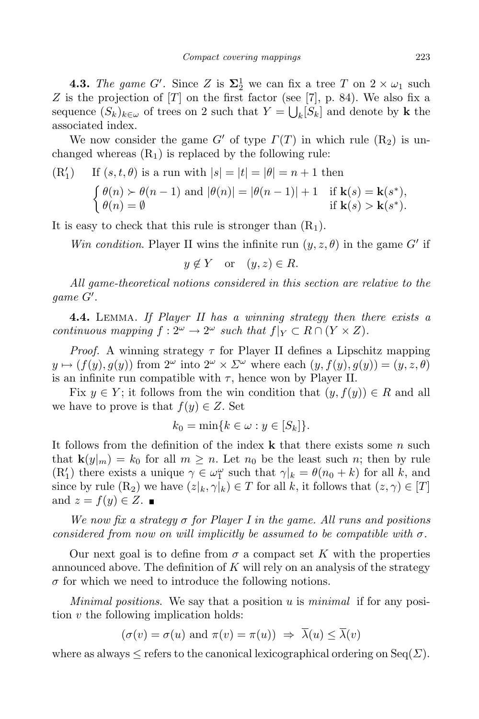**4.3.** *The game G*<sup>*l*</sup>. Since *Z* is  $\Sigma^1_2$  we can fix a tree *T* on  $2 \times \omega_1$  such *Z* is the projection of [*T*] on the first factor (see [7], p. 84). We also fix a sequence  $(S_k)_{k \in \omega}$  of trees on 2 such that  $Y = \bigcup_k [S_k]$  and denote by **k** the associated index.

We now consider the game *G<sup>'</sup>* of type  $\Gamma(T)$  in which rule  $(R_2)$  is unchanged whereas  $(R_1)$  is replaced by the following rule:

(R1) If 
$$
(s, t, \theta)
$$
 is a run with  $|s| = |t| = |\theta| = n + 1$  then  
\n
$$
\begin{cases}\n\theta(n) \succ \theta(n-1) \text{ and } |\theta(n)| = |\theta(n-1)| + 1 & \text{if } \mathbf{k}(s) = \mathbf{k}(s^*) \\
\theta(n) = \emptyset & \text{if } \mathbf{k}(s) > \mathbf{k}(s^*)\n\end{cases}
$$

It is easy to check that this rule is stronger than  $(R_1)$ .

*Win condition*. Player II wins the infinite run  $(y, z, \theta)$  in the game *G<sup><i>i*</sup></sup> if

$$
y \notin Y \quad \text{or} \quad (y, z) \in R.
$$

*All game-theoretical notions considered in this section are relative to the*  $game G'.$ 

**4.4.** Lemma. *If Player II has a winning strategy then there exists a continuous mapping*  $f: 2^{\omega} \to 2^{\omega}$  *such that*  $f|_Y \subset R \cap (Y \times Z)$ *.* 

*Proof.* A winning strategy  $\tau$  for Player II defines a Lipschitz mapping  $y \mapsto (f(y), g(y))$  from  $2^{\omega}$  into  $2^{\omega} \times \Sigma^{\omega}$  where each  $(y, f(y), g(y)) = (y, z, \theta)$ is an infinite run compatible with  $\tau$ , hence won by Player II.

Fix  $y \in Y$ ; it follows from the win condition that  $(y, f(y)) \in R$  and all we have to prove is that  $f(y) \in Z$ . Set

$$
k_0 = \min\{k \in \omega : y \in [S_k]\}.
$$

It follows from the definition of the index **k** that there exists some *n* such that  $\mathbf{k}(y|m) = k_0$  for all  $m \geq n$ . Let  $n_0$  be the least such *n*; then by rule  $(R'_1)$  there exists a unique  $\gamma \in \omega_1^{\omega}$  such that  $\gamma|_k = \theta(n_0 + k)$  for all *k*, and since by rule  $(R_2)$  we have  $(z|_k, \gamma|_k) \in T$  for all k, it follows that  $(z, \gamma) \in [T]$ and  $z = f(y) \in Z$ .

*We now fix a strategy σ for Player I in the game. All runs and positions considered from now on will implicitly be assumed to be compatible with σ.*

Our next goal is to define from  $\sigma$  a compact set K with the properties announced above. The definition of *K* will rely on an analysis of the strategy *σ* for which we need to introduce the following notions.

*Minimal positions*. We say that a position *u* is *minimal* if for any position *v* the following implication holds:

$$
(\sigma(v) = \sigma(u) \text{ and } \pi(v) = \pi(u)) \Rightarrow \overline{\lambda}(u) \le \overline{\lambda}(v)
$$

where as always  $\leq$  refers to the canonical lexicographical ordering on  $\text{Seq}(\Sigma)$ .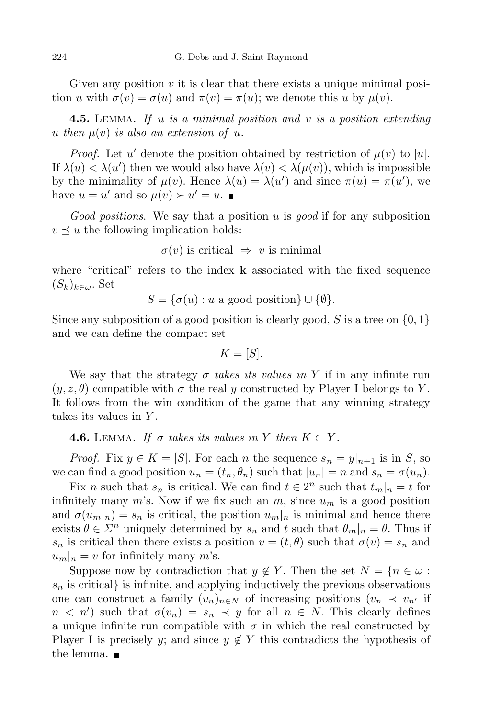Given any position *v* it is clear that there exists a unique minimal position *u* with  $\sigma(v) = \sigma(u)$  and  $\pi(v) = \pi(u)$ ; we denote this *u* by  $\mu(v)$ .

**4.5.** Lemma. *If u is a minimal position and v is a position extending*  $u$  *then*  $\mu(v)$  *is also an extension of*  $u$ *.* 

*Proof.* Let *u*<sup> $\prime$ </sup> denote the position obtained by restriction of  $\mu(v)$  to  $|u|$ . If  $\lambda(u) < \lambda(u')$  then we would also have  $\lambda(v) < \lambda(\mu(v))$ , which is impossible by the minimality of  $\mu(v)$ . Hence  $\lambda(u) = \lambda(u')$  and since  $\pi(u) = \pi(u')$ , we have  $u = u'$  and so  $\mu(v) \succ u' = u$ .

*Good positions*. We say that a position *u* is *good* if for any subposition  $v \leq u$  the following implication holds:

$$
\sigma(v)
$$
 is critical  $\Rightarrow v$  is minimal

where "critical" refers to the index **k** associated with the fixed sequence  $(S_k)_{k \in \omega}$ . Set

 $S = \{\sigma(u) : u \text{ a good position}\}\cup \{\emptyset\}.$ 

Since any subposition of a good position is clearly good, *S* is a tree on *{*0*,* 1*}* and we can define the compact set

$$
K = [S].
$$

We say that the strategy  $\sigma$  *takes its values in* Y if in any infinite run  $(y, z, \theta)$  compatible with  $\sigma$  the real y constructed by Player I belongs to Y. It follows from the win condition of the game that any winning strategy takes its values in *Y* .

**4.6.** LEMMA. If  $\sigma$  takes its values in Y then  $K \subset Y$ .

*Proof.* Fix  $y \in K = [S]$ . For each *n* the sequence  $s_n = y|_{n+1}$  is in *S*, so we can find a good position  $u_n = (t_n, \theta_n)$  such that  $|u_n| = n$  and  $s_n = \sigma(u_n)$ .

Fix *n* such that  $s_n$  is critical. We can find  $t \in 2^n$  such that  $t_m|_n = t$  for infinitely many  $m$ 's. Now if we fix such an  $m$ , since  $u_m$  is a good position and  $\sigma(u_m|_n) = s_n$  is critical, the position  $u_m|_n$  is minimal and hence there exists  $\theta \in \Sigma^n$  uniquely determined by  $s_n$  and  $t$  such that  $\theta_m|_n = \theta$ . Thus if *s<sub>n</sub>* is critical then there exists a position  $v = (t, \theta)$  such that  $\sigma(v) = s_n$  and  $|u_m|_n = v$  for infinitely many *m*'s.

Suppose now by contradiction that  $y \notin Y$ . Then the set  $N = \{n \in \omega :$  $s_n$  is critical is infinite, and applying inductively the previous observations one can construct a family  $(v_n)_{n \in \mathbb{N}}$  of increasing positions  $(v_n \prec v_{n'}$  if  $n < n'$  such that  $\sigma(v_n) = s_n \prec y$  for all  $n \in N$ . This clearly defines a unique infinite run compatible with  $\sigma$  in which the real constructed by Player I is precisely *y*; and since  $y \notin Y$  this contradicts the hypothesis of the lemma.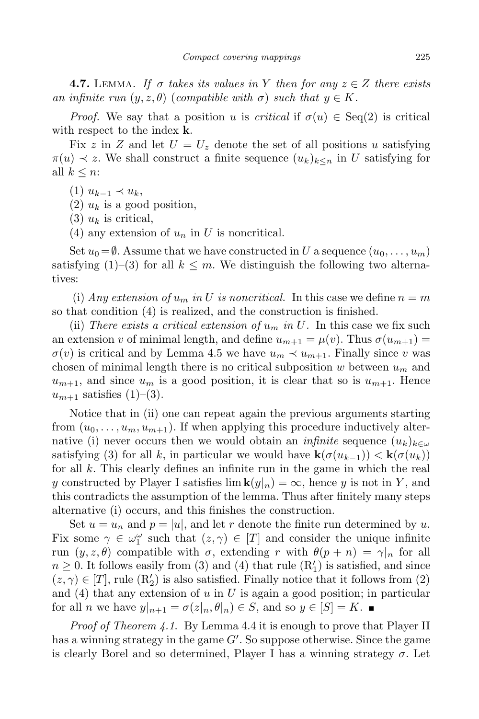**4.7.** LEMMA. If  $\sigma$  takes its values in Y then for any  $z \in Z$  there exists *an infinite*  $run (y, z, \theta)$  (*compatible*  $with \sigma) such that  $y \in K$ .$ 

*Proof.* We say that a position *u* is *critical* if  $\sigma(u) \in \text{Seq}(2)$  is critical with respect to the index **k**.

Fix *z* in *Z* and let  $U = U_z$  denote the set of all positions *u* satisfying  $\pi(u) \prec z$ . We shall construct a finite sequence  $(u_k)_{k \leq n}$  in *U* satisfying for all  $k \leq n$ :

(1) *uk−*<sup>1</sup> *≺ uk*,

 $(2)$   $u_k$  is a good position,

 $(3)$   $u_k$  is critical,

(4) any extension of  $u_n$  in U is noncritical.

Set  $u_0 = \emptyset$ . Assume that we have constructed in *U* a sequence  $(u_0, \ldots, u_m)$ satisfying (1)–(3) for all  $k \leq m$ . We distinguish the following two alternatives:

(i) *Any extension of*  $u_m$  *in U is noncritical.* In this case we define  $n = m$ so that condition (4) is realized, and the construction is finished.

(ii) *There exists a critical extension of*  $u_m$  *in*  $U$ . In this case we fix such an extension *v* of minimal length, and define  $u_{m+1} = \mu(v)$ . Thus  $\sigma(u_{m+1}) =$  $\sigma(v)$  is critical and by Lemma 4.5 we have  $u_m \prec u_{m+1}$ . Finally since *v* was chosen of minimal length there is no critical subposition *w* between *u<sup>m</sup>* and  $u_{m+1}$ , and since  $u_m$  is a good position, it is clear that so is  $u_{m+1}$ . Hence  $u_{m+1}$  satisfies  $(1)-(3)$ .

Notice that in (ii) one can repeat again the previous arguments starting from  $(u_0, \ldots, u_m, u_{m+1})$ . If when applying this procedure inductively alternative (i) never occurs then we would obtain an *infinite* sequence  $(u_k)_{k \in \omega}$ satisfying (3) for all k, in particular we would have  $\mathbf{k}(\sigma(u_{k-1})) < \mathbf{k}(\sigma(u_k))$ for all *k*. This clearly defines an infinite run in the game in which the real *y* constructed by Player I satisfies  $\lim_{n \to \infty} k(y|n) = \infty$ , hence *y* is not in *Y*, and this contradicts the assumption of the lemma. Thus after finitely many steps alternative (i) occurs, and this finishes the construction.

Set  $u = u_n$  and  $p = |u|$ , and let r denote the finite run determined by *u*. Fix some  $\gamma \in \omega_1^{\omega}$  such that  $(z, \gamma) \in [T]$  and consider the unique infinite run (*y, z, θ*) compatible with *σ*, extending *r* with *θ*(*p* + *n*) = *γ|<sup>n</sup>* for all  $n \geq 0$ . It follows easily from (3) and (4) that rule  $(R'_1)$  is satisfied, and since  $(z, \gamma) \in [T]$ , rule  $(R'_2)$  is also satisfied. Finally notice that it follows from (2) and (4) that any extension of *u* in *U* is again a good position; in particular for all *n* we have  $y|_{n+1} = \sigma(z|_n, \theta|_n) \in S$ , and so  $y \in [S] = K$ .

*Proof of Theorem 4.1*. By Lemma 4.4 it is enough to prove that Player II has a winning strategy in the game  $G'$ . So suppose otherwise. Since the game is clearly Borel and so determined, Player I has a winning strategy  $\sigma$ . Let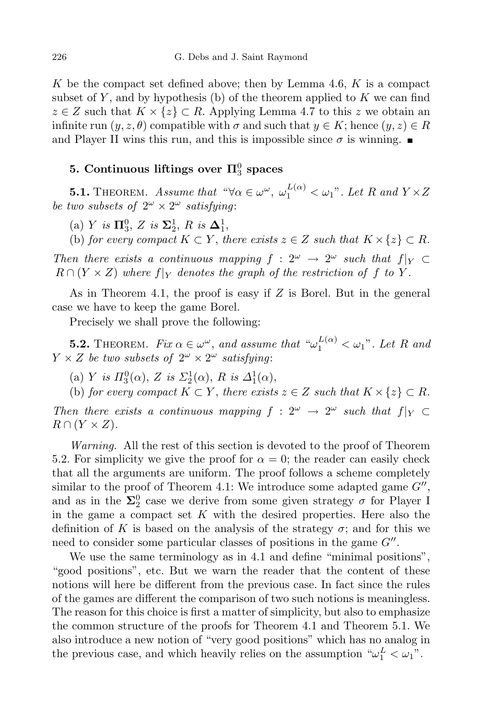*K* be the compact set defined above; then by Lemma 4.6, *K* is a compact subset of  $Y$ , and by hypothesis (b) of the theorem applied to  $K$  we can find *z* ∈ *Z* such that  $K \times \{z\}$  ⊂ *R*. Applying Lemma 4.7 to this *z* we obtain an infinite run  $(y, z, \theta)$  compatible with  $\sigma$  and such that  $y \in K$ ; hence  $(y, z) \in R$ and Player II wins this run, and this is impossible since  $\sigma$  is winning.

# $5.$  **Continuous** liftings over  $\Pi^0_3$  spaces

**5.1.** THEOREM. Assume that  $\mathscr{A} \times \mathscr{A} = \omega^{\omega}$ ,  $\omega_1^{L(\alpha)} < \omega_1$ ". Let R and  $Y \times Z$ *be two subsets of*  $2^{\omega} \times 2^{\omega}$  *satisfying*:

 $(a)$  *Y is*  $\Pi_3^0$ , *Z is*  $\Sigma_2^1$ , *R is*  $\Delta_1^1$ ,

(b) *for every compact*  $K \subset Y$ *, there exists*  $z \in Z$  *such that*  $K \times \{z\} \subset R$ *.* 

*Then there exists a continuous mapping*  $f : 2^{\omega} \rightarrow 2^{\omega}$  *such that*  $f|_Y \subset$  $R \cap (Y \times Z)$  *where*  $f|_Y$  *denotes the graph of the restriction of f to Y*.

As in Theorem 4.1, the proof is easy if *Z* is Borel. But in the general case we have to keep the game Borel.

Precisely we shall prove the following:

**5.2.** THEOREM. *Fix*  $\alpha \in \omega^{\omega}$ , and assume that  $\omega_1^{L(\alpha)} < \omega_1$ ". Let *R* and  $Y \times Z$  *be two subsets of*  $2^{\omega} \times 2^{\omega}$  *satisfying*:

(a) *Y is*  $\Pi_3^0(\alpha)$ , *Z is*  $\Sigma_2^1(\alpha)$ , *R is*  $\Delta_1^1(\alpha)$ ,

(b) *for every compact*  $K \subset Y$ , *there exists*  $z \in Z$  *such that*  $K \times \{z\} \subset R$ *.* 

*Then there exists a continuous mapping*  $f : 2^{\omega} \rightarrow 2^{\omega}$  *such that*  $f|_Y \subset$  $R \cap (Y \times Z)$ .

*Warning.* All the rest of this section is devoted to the proof of Theorem 5.2. For simplicity we give the proof for  $\alpha = 0$ ; the reader can easily check that all the arguments are uniform. The proof follows a scheme completely similar to the proof of Theorem 4.1: We introduce some adapted game  $G''$ , and as in the  $\Sigma^0_2$  case we derive from some given strategy  $\sigma$  for Player I in the game a compact set *K* with the desired properties. Here also the definition of K is based on the analysis of the strategy  $\sigma$ ; and for this we need to consider some particular classes of positions in the game  $G''$ .

We use the same terminology as in 4.1 and define "minimal positions", "good positions", etc. But we warn the reader that the content of these notions will here be different from the previous case. In fact since the rules of the games are different the comparison of two such notions is meaningless. The reason for this choice is first a matter of simplicity, but also to emphasize the common structure of the proofs for Theorem 4.1 and Theorem 5.1. We also introduce a new notion of "very good positions" which has no analog in the previous case, and which heavily relies on the assumption " $\omega_1^L < \omega_1$ ".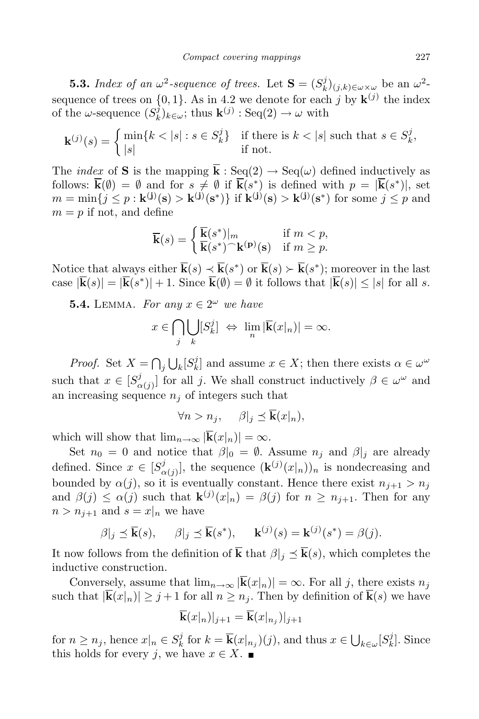**5.3.** *Index of an*  $\omega^2$ -sequence of trees. Let  $\mathbf{S} = (S_k^j)$ <sup>*t*</sup></sup><sub>*k*</sub>)<sub>(*j,k*)∈*ω*×<sub>*ω*</sub> be an *ω*<sup>2</sup>-</sub> sequence of trees on  $\{0,1\}$ . As in 4.2 we denote for each *j* by  $\mathbf{k}^{(j)}$  the index of the  $\omega$ -sequence  $(S_k^j)$  $(k)$ <sub>k</sub> $(\omega)$ ; thus **k**<sup>(*j*)</sup>: Seq(2)  $\rightarrow \omega$  with

$$
\mathbf{k}^{(j)}(s) = \begin{cases} \min\{k < |s| : s \in S_k^j\} & \text{if there is } k < |s| \text{ such that } s \in S_k^j, \\ |s| & \text{if not.} \end{cases}
$$

The *index* of **S** is the mapping  $\overline{k}$  : Seq(2)  $\rightarrow$  Seq( $\omega$ ) defined inductively as follows:  $\mathbf{k}(\emptyset) = \emptyset$  and for  $s \neq \emptyset$  if  $\mathbf{k}(s^*)$  is defined with  $p = |\mathbf{k}(s^*)|$ , set  $m = \min\{j \leq p : \mathbf{k}^{(j)}(\mathbf{s}) > \mathbf{k}^{(j)}(\mathbf{s}^*)\}\$  if  $\mathbf{k}^{(j)}(\mathbf{s}) > \mathbf{k}^{(j)}(\mathbf{s}^*)$  for some  $j \leq p$  and  $m = p$  if not, and define

$$
\overline{\mathbf{k}}(s) = \begin{cases} \overline{\mathbf{k}}(s^*)|_m & \text{if } m < p, \\ \overline{\mathbf{k}}(s^*)^\frown \mathbf{k}^{(\mathbf{p})}(\mathbf{s}) & \text{if } m \ge p. \end{cases}
$$

Notice that always either  $\mathbf{k}(s) \prec \mathbf{k}(s^*)$  or  $\mathbf{k}(s) \succ \mathbf{k}(s^*)$ ; moreover in the last case  $|\mathbf{k}(s)| = |\mathbf{k}(s^*)| + 1$ . Since  $\mathbf{k}(\emptyset) = \emptyset$  it follows that  $|\mathbf{k}(s)| \leq |s|$  for all s.

**5.4.** LEMMA. For any  $x \in 2^{\omega}$  we have

$$
x \in \bigcap_{j} \bigcup_{k} [S_k^j] \iff \lim_{n} |\overline{\mathbf{k}}(x|_n)| = \infty.
$$

*Proof.* Set  $X = \bigcap_j \bigcup_k [S_k^j]$ *k*<sup>2</sup> and assume  $x \in X$ ; then there exists  $\alpha \in \omega^{\omega}$ such that  $x \in [S^j_\alpha]$  $\alpha(j)$  for all *j*. We shall construct inductively  $\beta \in \omega^{\omega}$  and an increasing sequence  $n_i$  of integers such that

$$
\forall n > n_j, \quad \beta|_j \preceq \overline{\mathbf{k}}(x|_n),
$$

which will show that  $\lim_{n\to\infty} |\mathbf{k}(x)|_n = \infty$ .

Set  $n_0 = 0$  and notice that  $\beta|_0 = \emptyset$ . Assume  $n_j$  and  $\beta|_j$  are already defined. Since  $x \in [S_\alpha^j]$  $\alpha(j)$ , the sequence  $(\mathbf{k}^{(j)}(x|_n))_n$  is nondecreasing and bounded by  $\alpha(j)$ , so it is eventually constant. Hence there exist  $n_{i+1} > n_i$ and  $\beta(j) \leq \alpha(j)$  such that  $\mathbf{k}^{(j)}(x|_n) = \beta(j)$  for  $n \geq n_{j+1}$ . Then for any  $n > n_{j+1}$  and  $s = x|_n$  we have

$$
\beta|_j \preceq \overline{\mathbf{k}}(s), \quad \beta|_j \preceq \overline{\mathbf{k}}(s^*), \quad \mathbf{k}^{(j)}(s) = \mathbf{k}^{(j)}(s^*) = \beta(j).
$$

It now follows from the definition of  $\overline{k}$  that  $\beta|_i \leq \overline{k}(s)$ , which completes the inductive construction.

Conversely, assume that  $\lim_{n\to\infty} |\mathbf{k}(x|_n)| = \infty$ . For all *j*, there exists  $n_j$ such that  $|\overline{\mathbf{k}}(x)| \geq j+1$  for all  $n \geq n_j$ . Then by definition of  $\overline{\mathbf{k}}(s)$  we have

$$
\mathbf{k}(x|n)|_{j+1} = \mathbf{k}(x|n_j)|_{j+1}
$$

for  $n \geq n_j$ , hence  $x|_n \in S_k^j$  $\overline{k}_k^j$  for  $k = \overline{k}(x|_{n_j})(j)$ , and thus  $x \in \bigcup_{k \in \omega} [S_k^j]$  $\binom{J}{k}$ . Since this holds for every *j*, we have  $x \in X$ .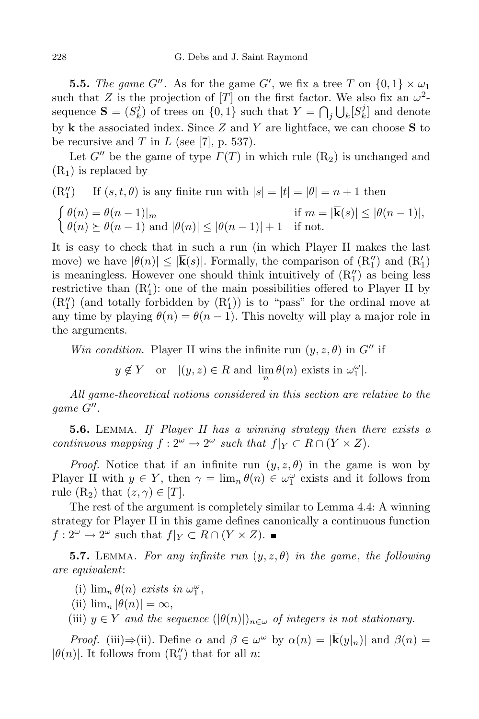**5.5.** *The game G*<sup>*n*</sup>. As for the game *G*<sup>*i*</sup>, we fix a tree *T* on  $\{0,1\} \times \omega_1$ such that *Z* is the projection of  $[T]$  on the first factor. We also fix an  $\omega^2$ sequence  $\mathbf{S} = (S_k^j)$ *k*) of trees on  $\{0, 1\}$  such that  $Y = \bigcap_j \bigcup_k [S_k^j]$  $\binom{J}{k}$  and denote by **k** the associated index. Since *Z* and *Y* are lightface, we can choose **S** to be recursive and  $T$  in  $L$  (see [7], p. 537).

Let  $G''$  be the game of type  $\Gamma(T)$  in which rule  $(R_2)$  is unchanged and  $(R<sub>1</sub>)$  is replaced by

(R<sub>1</sub>'') If 
$$
(s, t, \theta)
$$
 is any finite run with  $|s| = |t| = |\theta| = n + 1$  then

$$
\begin{cases} \theta(n) = \theta(n-1)|_m & \text{if } m = |\overline{\mathbf{k}}(s)| \le |\theta(n-1)|, \\ \theta(n) \succeq \theta(n-1) & \text{and } |\theta(n)| \le |\theta(n-1)| + 1 & \text{if not.} \end{cases}
$$

It is easy to check that in such a run (in which Player II makes the last move) we have  $|\theta(n)| \leq |\mathbf{k}(s)|$ . Formally, the comparison of  $(R_1)$  and  $(R_1)$ is meaningless. However one should think intuitively of  $(R''_1)$  as being less restrictive than  $(R'_1)$ : one of the main possibilities offered to Player II by  $(R_1'')$  (and totally forbidden by  $(R_1')$ ) is to "pass" for the ordinal move at any time by playing  $\theta(n) = \theta(n-1)$ . This novelty will play a major role in the arguments.

*Win condition*. Player II wins the infinite run  $(y, z, \theta)$  in  $G''$  if

 $y \notin Y$  or  $[(y, z) \in R \text{ and } \lim_{n} \theta(n) \text{ exists in } \omega_1^{\omega}].$ 

*All game-theoretical notions considered in this section are relative to the*  $game G''.$ 

**5.6.** Lemma. *If Player II has a winning strategy then there exists a continuous mapping*  $f: 2^{\omega} \to 2^{\omega}$  *such that*  $f|_Y \subset R \cap (Y \times Z)$ *.* 

*Proof.* Notice that if an infinite run  $(y, z, \theta)$  in the game is won by Player II with  $y \in Y$ , then  $\gamma = \lim_{n} \theta(n) \in \omega_1^{\omega}$  exists and it follows from rule  $(R_2)$  that  $(z, \gamma) \in [T]$ .

The rest of the argument is completely similar to Lemma 4.4: A winning strategy for Player II in this game defines canonically a continuous function  $f: 2^{\omega} \to 2^{\omega}$  such that  $f|_{Y} \subset R \cap (Y \times Z)$ .

**5.7.** LEMMA. For any infinite run  $(y, z, \theta)$  in the game, the following *are equivalent*:

(i)  $\lim_{n} \theta(n)$  *exists in*  $\omega_1^{\omega}$ ,

- (ii)  $\lim_{n} |\theta(n)| = \infty$ ,
- (iii)  $y \in Y$  *and the sequence*  $(|\theta(n)|)_{n \in \omega}$  *of integers is not stationary.*

*Proof.* (iii) $\Rightarrow$ (ii). Define  $\alpha$  and  $\beta \in \omega^{\omega}$  by  $\alpha(n) = |\mathbf{k}(y|_n)|$  and  $\beta(n) =$  $|\theta(n)|$ . It follows from  $(R_1'')$  that for all *n*: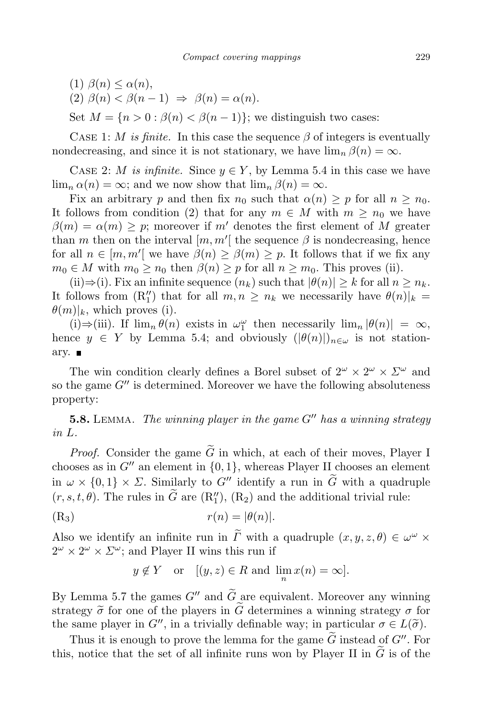- (1) *β*(*n*) *≤ α*(*n*),
- $(2)$   $\beta(n) < \beta(n-1) \Rightarrow \beta(n) = \alpha(n).$

Set  $M = \{n > 0 : \beta(n) < \beta(n-1)\}$ ; we distinguish two cases:

CASE 1: *M is finite*. In this case the sequence  $\beta$  of integers is eventually nondecreasing, and since it is not stationary, we have  $\lim_{n} \beta(n) = \infty$ .

CASE 2: *M is infinite.* Since  $y \in Y$ , by Lemma 5.4 in this case we have  $\lim_{n} \alpha(n) = \infty$ ; and we now show that  $\lim_{n} \beta(n) = \infty$ .

Fix an arbitrary *p* and then fix  $n_0$  such that  $\alpha(n) \geq p$  for all  $n \geq n_0$ . It follows from condition (2) that for any  $m \in M$  with  $m \geq n_0$  we have  $\beta(m) = \alpha(m) > p$ ; moreover if *m'* denotes the first element of *M* greater than *m* then on the interval  $[m, m']$  the sequence  $\beta$  is nondecreasing, hence for all  $n \in [m, m'[\]$  we have  $\beta(n) \geq \beta(m) \geq p$ . It follows that if we fix any  $m_0 \in M$  with  $m_0 \geq n_0$  then  $\beta(n) \geq p$  for all  $n \geq m_0$ . This proves (ii).

(ii)⇒(i). Fix an infinite sequence  $(n_k)$  such that  $|\theta(n)| \geq k$  for all  $n \geq n_k$ . It follows from  $(R_1'')$  that for all  $m, n \geq n_k$  we necessarily have  $\theta(n)|_k =$  $\theta(m)|_k$ , which proves (i).

 $(i) \Rightarrow (iii)$ . If  $\lim_{n} \theta(n)$  exists in  $\omega_1^{\omega}$  then necessarily  $\lim_{n} |\theta(n)| = \infty$ , hence  $y \in Y$  by Lemma 5.4; and obviously  $(|\theta(n)|)_{n \in \omega}$  is not stationary.  $\blacksquare$ 

The win condition clearly defines a Borel subset of  $2^{\omega} \times 2^{\omega} \times 2^{\omega}$  and so the game  $G''$  is determined. Moreover we have the following absoluteness property:

**5.8.** Lemma. *The winning player in the game G<sup>00</sup> has a winning strategy in L.*

*Proof.* Consider the game  $\tilde{G}$  in which, at each of their moves, Player I chooses as in  $G''$  an element in  $\{0,1\}$ , whereas Player II chooses an element in  $\omega \times \{0,1\} \times \Sigma$ . Similarly to G<sup>*n*</sup> identify a run in  $\tilde{G}$  with a quadruple  $(r, s, t, \theta)$ . The rules in *G* are  $(R_1'',), (R_2)$  and the additional trivial rule:

$$
(R_3) \t\t\t r(n) = |\theta(n)|.
$$

Also we identify an infinite run in *Γ* with a quadruple  $(x, y, z, \theta) \in \omega^{\omega} \times$  $2^{\omega} \times 2^{\omega} \times \mathbb{Z}^{\omega}$ ; and Player II wins this run if

$$
y \notin Y
$$
 or  $[(y, z) \in R$  and  $\lim_{n} x(n) = \infty$ .

By Lemma 5.7 the games  $G''$  and  $\tilde{G}$  are equivalent. Moreover any winning strategy  $\tilde{\sigma}$  for one of the players in  $\tilde{G}$  determines a winning strategy  $\sigma$  for the same player in *G<sup><i>o*</sup></sup>, in a trivially definable way; in particular  $\sigma \in L(\tilde{\sigma})$ .

Thus it is enough to prove the lemma for the game *G* instead of  $G''$ . For this, notice that the set of all infinite runs won by Player II in  $\tilde{G}$  is of the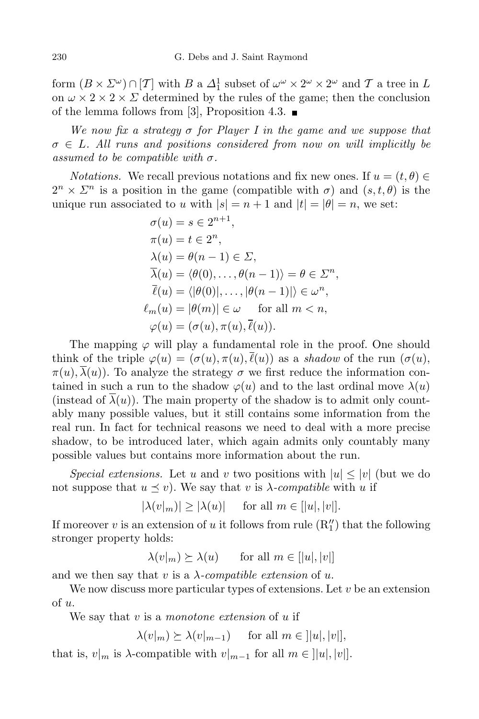form  $(B \times \Sigma^{\omega}) \cap [T]$  with  $B$  a  $\Delta_1^1$  subset of  $\omega^{\omega} \times 2^{\omega} \times 2^{\omega}$  and  $T$  a tree in  $L$ on  $\omega \times 2 \times 2 \times \Sigma$  determined by the rules of the game; then the conclusion of the lemma follows from [3], Proposition 4.3.  $\blacksquare$ 

*We now fix a strategy σ for Player I in the game and we suppose that σ ∈ L. All runs and positions considered from now on will implicitly be assumed to be compatible with*  $\sigma$ .

*Notations.* We recall previous notations and fix new ones. If  $u = (t, \theta) \in$  $2^{n} \times \Sigma^{n}$  is a position in the game (compatible with  $\sigma$ ) and  $(s, t, \theta)$  is the unique run associated to *u* with  $|s| = n + 1$  and  $|t| = |\theta| = n$ , we set:

$$
\sigma(u) = s \in 2^{n+1},
$$
  
\n
$$
\pi(u) = t \in 2^n,
$$
  
\n
$$
\lambda(u) = \theta(n-1) \in \Sigma,
$$
  
\n
$$
\overline{\lambda}(u) = \langle \theta(0), \dots, \theta(n-1) \rangle = \theta \in \Sigma^n,
$$
  
\n
$$
\overline{\ell}(u) = \langle |\theta(0)|, \dots, |\theta(n-1)| \rangle \in \omega^n,
$$
  
\n
$$
\ell_m(u) = |\theta(m)| \in \omega \quad \text{for all } m < n,
$$
  
\n
$$
\varphi(u) = (\sigma(u), \pi(u), \overline{\ell}(u)).
$$

The mapping *ϕ* will play a fundamental role in the proof. One should think of the triple  $\varphi(u) = (\sigma(u), \pi(u), \overline{\ell}(u))$  as a *shadow* of the run  $(\sigma(u))$ ,  $\pi(u), \overline{\lambda}(u)$ . To analyze the strategy  $\sigma$  we first reduce the information contained in such a run to the shadow  $\varphi(u)$  and to the last ordinal move  $\lambda(u)$ (instead of  $\overline{\lambda}(u)$ ). The main property of the shadow is to admit only countably many possible values, but it still contains some information from the real run. In fact for technical reasons we need to deal with a more precise shadow, to be introduced later, which again admits only countably many possible values but contains more information about the run.

*Special extensions.* Let *u* and *v* two positions with  $|u| \leq |v|$  (but we do not suppose that  $u \leq v$ ). We say that *v* is  $\lambda$ -*compatible* with *u* if

 $|\lambda(v|_m)| \geq |\lambda(u)|$  for all  $m \in [|u|, |v|].$ 

If moreover  $v$  is an extension of  $u$  it follows from rule  $(R''_1)$  that the following stronger property holds:

 $\lambda(v_m) \geq \lambda(u)$  for all  $m \in [|u|, |v|]$ 

and we then say that  $v$  is a  $\lambda$ -compatible extension of  $u$ .

We now discuss more particular types of extensions. Let *v* be an extension of *u*.

We say that *v* is a *monotone extension* of *u* if

$$
\lambda(v|_m) \succeq \lambda(v|_{m-1}) \quad \text{ for all } m \in ]|u|, |v|],
$$

that is,  $v|_m$  is  $\lambda$ -compatible with  $v|_{m-1}$  for all  $m \in ||u|, |v||$ .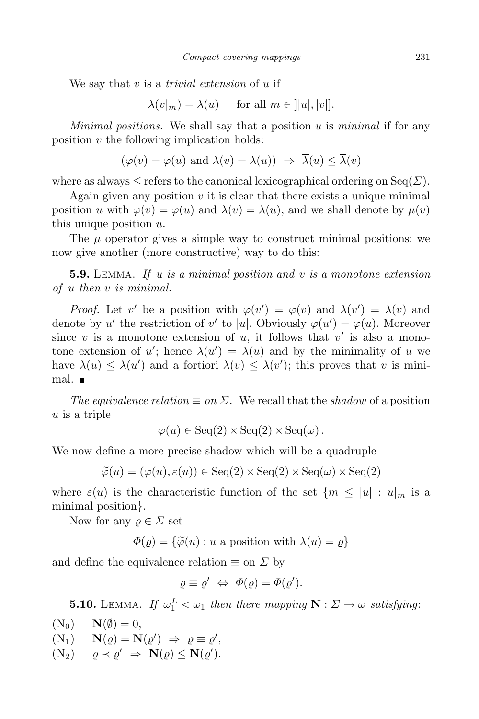We say that *v* is a *trivial extension* of *u* if

 $\lambda(v|_m) = \lambda(u)$  for all  $m \in ||u|, |v||$ .

*Minimal positions.* We shall say that a position *u* is *minimal* if for any position *v* the following implication holds:

$$
(\varphi(v) = \varphi(u) \text{ and } \lambda(v) = \lambda(u)) \Rightarrow \overline{\lambda}(u) \le \overline{\lambda}(v)
$$

where as always  $\leq$  refers to the canonical lexicographical ordering on Seq( $\Sigma$ ).

Again given any position  $v$  it is clear that there exists a unique minimal position *u* with  $\varphi(v) = \varphi(u)$  and  $\lambda(v) = \lambda(u)$ , and we shall denote by  $\mu(v)$ this unique position *u*.

The  $\mu$  operator gives a simple way to construct minimal positions; we now give another (more constructive) way to do this:

**5.9.** Lemma. *If u is a minimal position and v is a monotone extension of u then v is minimal.*

*Proof.* Let *v*' be a position with  $\varphi(v') = \varphi(v)$  and  $\lambda(v') = \lambda(v)$  and denote by *u*' the restriction of *v*' to |*u*|. Obviously  $\varphi(u') = \varphi(u)$ . Moreover since *v* is a monotone extension of *u*, it follows that  $v'$  is also a monotone extension of *u*'; hence  $\lambda(u') = \lambda(u)$  and by the minimality of *u* we have  $\lambda(u) \leq \lambda(u')$  and a fortiori  $\lambda(v) \leq \lambda(v')$ ; this proves that *v* is minimal.

*The equivalence relation*  $\equiv$  *on*  $\Sigma$ *.* We recall that the *shadow* of a position *u* is a triple

 $\varphi(u) \in \text{Seq}(2) \times \text{Seq}(2) \times \text{Seq}(\omega)$ .

We now define a more precise shadow which will be a quadruple

$$
\widetilde{\varphi}(u) = (\varphi(u), \varepsilon(u)) \in \text{Seq}(2) \times \text{Seq}(2) \times \text{Seq}(\omega) \times \text{Seq}(2)
$$

where  $\varepsilon(u)$  is the characteristic function of the set  ${m \leq |u| : u|_m}$  is a minimal position*}*.

Now for any  $\rho \in \Sigma$  set

 $\Phi(\varrho) = {\varphi(u) : u \text{ a position with } \lambda(u) = \varrho}$ 

and define the equivalence relation  $\equiv$  on  $\Sigma$  by

$$
\varrho \equiv \varrho' \Leftrightarrow \Phi(\varrho) = \Phi(\varrho').
$$

**5.10.** LEMMA. If  $\omega_1^L < \omega_1$  then there mapping  $N : \Sigma \to \omega$  satisfying:

 $(N_0)$   $N(\emptyset) = 0,$ <br>  $(N_1)$   $N(\rho) = N$  $(N_1)$   $N(\varrho) = N(\varrho') \Rightarrow \varrho \equiv \varrho',$  $(N_2)$   $\varrho \prec \varrho' \Rightarrow \mathbf{N}(\varrho) \leq \mathbf{N}(\varrho').$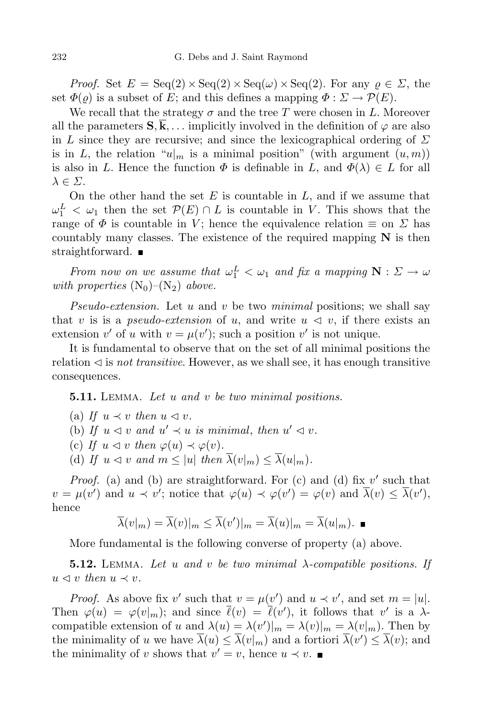*Proof.* Set  $E = \text{Seq}(2) \times \text{Seq}(2) \times \text{Seq}(\omega) \times \text{Seq}(2)$ . For any  $\rho \in \Sigma$ , the set  $\Phi(\rho)$  is a subset of *E*; and this defines a mapping  $\Phi : \Sigma \to \mathcal{P}(E)$ .

We recall that the strategy  $\sigma$  and the tree *T* were chosen in *L*. Moreover all the parameters  $S, \overline{k}, \ldots$  implicitly involved in the definition of  $\varphi$  are also in *L* since they are recursive; and since the lexicographical ordering of *Σ* is in *L*, the relation " $u|_m$  is a minimal position" (with argument  $(u,m)$ ) is also in *L*. Hence the function  $\Phi$  is definable in *L*, and  $\Phi(\lambda) \in L$  for all *λ ∈ Σ*.

On the other hand the set *E* is countable in *L*, and if we assume that  $\omega_1^L < \omega_1$  then the set  $\mathcal{P}(E) \cap L$  is countable in *V*. This shows that the range of  $\Phi$  is countable in *V*; hence the equivalence relation  $\equiv$  on  $\Sigma$  has countably many classes. The existence of the required mapping  $N$  is then straightforward.  $\blacksquare$ 

*From now on we assume that*  $\omega_1^L < \omega_1$  *and fix a mapping*  $N : \Sigma \to \omega$ *with properties*  $(N_0)$ – $(N_2)$  *above.* 

*Pseudo-extension.* Let *u* and *v* be two *minimal* positions; we shall say that *v* is is a *pseudo-extension* of *u*, and write  $u \le v$ , if there exists an extension  $v'$  of  $u$  with  $v = \mu(v')$ ; such a position  $v'$  is not unique.

It is fundamental to observe that on the set of all minimal positions the relation  $\triangleleft$  is *not transitive*. However, as we shall see, it has enough transitive consequences.

**5.11.** Lemma. *Let u and v be two minimal positions.*

- (a) If  $u \prec v$  then  $u \lhd v$ .
- (b) If  $u \le v$  and  $u' \le u$  is minimal, then  $u' \le v$ .
- (c) If  $u \triangleleft v$  then  $\varphi(u) \prec \varphi(v)$ .
- (d) If  $u \le v$  and  $m \le |u|$  then  $\overline{\lambda}(v_m) \le \overline{\lambda}(u_m)$ .

*Proof.* (a) and (b) are straightforward. For (c) and (d) fix  $v'$  such that  $v = \mu(v')$  and  $u \prec v'$ ; notice that  $\varphi(u) \prec \varphi(v') = \varphi(v)$  and  $\lambda(v) \leq \lambda(v')$ , hence

$$
\overline{\lambda}(v|_m) = \overline{\lambda}(v)|_m \leq \overline{\lambda}(v')|_m = \overline{\lambda}(u)|_m = \overline{\lambda}(u|_m).
$$

More fundamental is the following converse of property (a) above.

**5.12.** Lemma. *Let u and v be two minimal λ-compatible positions. If*  $u \leq v$  *then*  $u \leq v$ *.* 

*Proof.* As above fix *v*' such that  $v = \mu(v')$  and  $u \prec v'$ , and set  $m = |u|$ . Then  $\varphi(u) = \varphi(v_m)$ ; and since  $\ell(v) = \ell(v')$ , it follows that *v*' is a  $\lambda$ compatible extension of *u* and  $\lambda(u) = \lambda(v')|_m = \lambda(v)|_m = \lambda(v|_m)$ . Then by the minimality of *u* we have  $\lambda(u) \leq \lambda(v_m)$  and a fortiori  $\lambda(v') \leq \lambda(v)$ ; and the minimality of *v* shows that  $v' = v$ , hence  $u \prec v$ .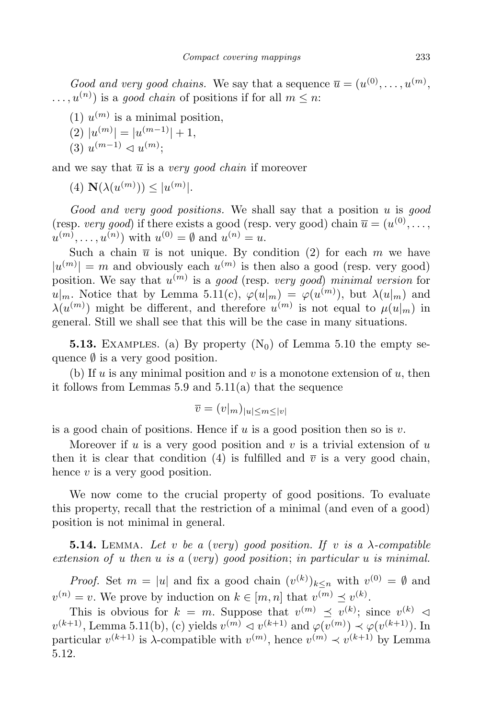*Good* and *very* good *chains*. We say that a sequence  $\overline{u} = (u^{(0)}, \ldots, u^{(m)})$ ,  $($ ,...,  $u^{(n)}$ ) is a *good chain* of positions if for all  $m \leq n$ :

 $(1)$   $u^{(m)}$  is a minimal position,

$$
(2) |u^{(m)}| = |u^{(m-1)}| + 1,
$$

$$
(3) u^{(m-1)} \lhd u^{(m)};
$$

and we say that  $\overline{u}$  is a *very good chain* if moreover

 $(4)$  **N**( $\lambda(u^{(m)})) \leq |u^{(m)}|$ .

*Good and very good positions.* We shall say that a position *u* is *good* (resp. *very good*) if there exists a good (resp. very good) chain  $\overline{u} = (u^{(0)}, \ldots,$  $u^{(m)}$ , ...,  $u^{(n)}$ ) with  $u^{(0)} = \emptyset$  and  $u^{(n)} = u$ .

Such a chain  $\overline{u}$  is not unique. By condition (2) for each  $m$  we have  $|u^{(m)}| = m$  and obviously each  $u^{(m)}$  is then also a good (resp. very good) position. We say that  $u^{(m)}$  is a *good* (resp. *very good*) *minimal version* for  $u|_m$ . Notice that by Lemma 5.11(c),  $\varphi(u|_m) = \varphi(u^{(m)})$ , but  $\lambda(u|_m)$  and  $\lambda(u^{(m)})$  might be different, and therefore  $u^{(m)}$  is not equal to  $\mu(u|_m)$  in general. Still we shall see that this will be the case in many situations.

**5.13.** EXAMPLES. (a) By property  $(N_0)$  of Lemma 5.10 the empty sequence  $\emptyset$  is a very good position.

(b) If *u* is any minimal position and *v* is a monotone extension of *u*, then it follows from Lemmas 5.9 and 5.11(a) that the sequence

$$
\overline{v} = (v|_m)_{|u| \le m \le |v|}
$$

is a good chain of positions. Hence if *u* is a good position then so is *v*.

Moreover if *u* is a very good position and *v* is a trivial extension of *u* then it is clear that condition (4) is fulfilled and  $\overline{v}$  is a very good chain, hence *v* is a very good position.

We now come to the crucial property of good positions. To evaluate this property, recall that the restriction of a minimal (and even of a good) position is not minimal in general.

**5.14.** LEMMA. Let *v* be a (*very*) good position. If *v* is a  $\lambda$ -compatible *extension of u then u is a* (*very*) *good position*; *in particular u is minimal.*

*Proof.* Set  $m = |u|$  and fix a good chain  $(v^{(k)})_{k \leq n}$  with  $v^{(0)} = \emptyset$  and  $v^{(n)} = v$ . We prove by induction on  $k \in [m, n]$  that  $v^{(m)} \preceq v^{(k)}$ .

This is obvious for  $k = m$ . Suppose that  $v^{(m)} \preceq v^{(k)}$ ; since  $v^{(k)} \preceq$  $v^{(k+1)}$ , Lemma 5.11(b), (c) yields  $v^{(m)} \leq v^{(k+1)}$  and  $\varphi(v^{(m)}) \leq \varphi(v^{(k+1)})$ . In particular  $v^{(k+1)}$  is  $\lambda$ -compatible with  $v^{(m)}$ , hence  $v^{(m)} \prec v^{(k+1)}$  by Lemma 5.12.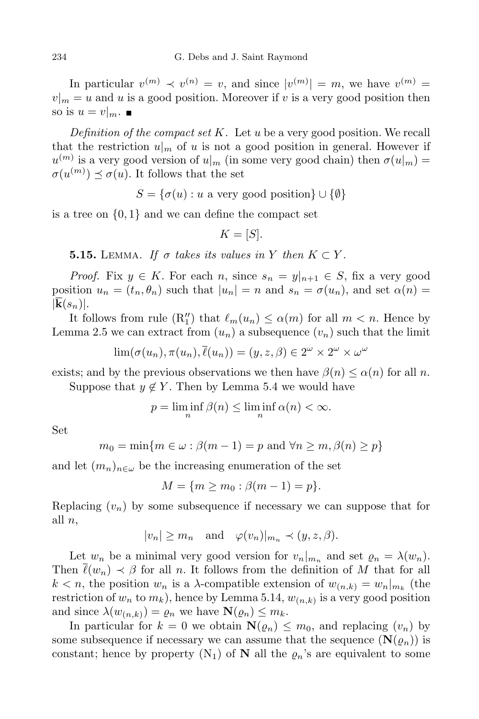In particular  $v^{(m)} \prec v^{(n)} = v$ , and since  $|v^{(m)}| = m$ , we have  $v^{(m)} =$  $v|_m = u$  and *u* is a good position. Moreover if *v* is a very good position then so is  $u = v|_m$ .

*Definition of the compact set K.* Let *u* be a very good position. We recall that the restriction  $u|_m$  of *u* is not a good position in general. However if  $u^{(m)}$  is a very good version of  $u|_m$  (in some very good chain) then  $\sigma(u|_m)$  =  $\sigma(u^{(m)}) \preceq \sigma(u)$ . It follows that the set

 $S = \{\sigma(u) : u \text{ a very good position}\}\cup \{\emptyset\}$ 

is a tree on  $\{0, 1\}$  and we can define the compact set

$$
K=[S].
$$

**5.15.** LEMMA. If  $\sigma$  takes its values in Y then  $K \subset Y$ .

*Proof.* Fix  $y \in K$ . For each *n*, since  $s_n = y|_{n+1} \in S$ , fix a very good position  $u_n = (t_n, \theta_n)$  such that  $|u_n| = n$  and  $s_n = \sigma(u_n)$ , and set  $\alpha(n) =$  $|\mathbf{k}(s_n)|$ .

It follows from rule  $(R''_1)$  that  $\ell_m(u_n) \leq \alpha(m)$  for all  $m < n$ . Hence by Lemma 2.5 we can extract from  $(u_n)$  a subsequence  $(v_n)$  such that the limit

$$
\lim_{\delta}(\sigma(u_n), \pi(u_n), \overline{\ell}(u_n)) = (y, z, \beta) \in 2^{\omega} \times 2^{\omega} \times \omega^{\omega}
$$

exists; and by the previous observations we then have  $\beta(n) \leq \alpha(n)$  for all *n*.

Suppose that  $y \notin Y$ . Then by Lemma 5.4 we would have

$$
p = \liminf_{n} \beta(n) \le \liminf_{n} \alpha(n) < \infty.
$$

Set

$$
m_0 = \min\{m \in \omega : \beta(m - 1) = p \text{ and } \forall n \ge m, \beta(n) \ge p\}
$$

and let  $(m_n)_{n \in \omega}$  be the increasing enumeration of the set

$$
M = \{ m \ge m_0 : \beta(m - 1) = p \}.
$$

Replacing  $(v_n)$  by some subsequence if necessary we can suppose that for all *n*,

 $|v_n| > m_n$  and  $\varphi(v_n)|_{m_n} \prec (y, z, \beta).$ 

Let  $w_n$  be a minimal very good version for  $v_n|_{m_n}$  and set  $\varrho_n = \lambda(w_n)$ . Then  $\bar{\ell}(w_n) \prec \beta$  for all *n*. It follows from the definition of *M* that for all  $k < n$ , the position  $w_n$  is a *λ*-compatible extension of  $w_{(n,k)} = w_n |_{m_k}$  (the restriction of  $w_n$  to  $m_k$ ), hence by Lemma 5.14,  $w_{(n,k)}$  is a very good position and since  $\lambda(w_{(n,k)}) = \varrho_n$  we have  $\mathbf{N}(\varrho_n) \leq m_k$ .

In particular for  $k = 0$  we obtain  $\mathbf{N}(\varrho_n) \leq m_0$ , and replacing  $(v_n)$  by some subsequence if necessary we can assume that the sequence  $(\mathbf{N}(\rho_n))$  is constant; hence by property  $(N_1)$  of **N** all the  $\varrho_n$ 's are equivalent to some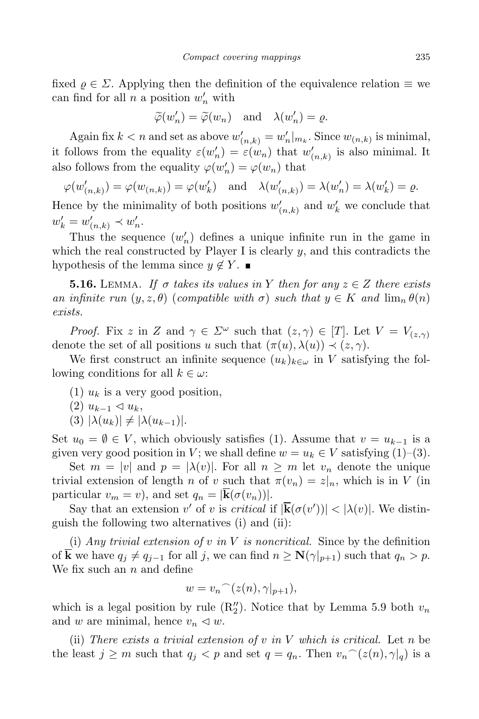fixed  $\rho \in \Sigma$ . Applying then the definition of the equivalence relation  $\equiv$  we can find for all *n* a position  $w'_n$  with

$$
\widetilde{\varphi}(w'_n) = \widetilde{\varphi}(w_n)
$$
 and  $\lambda(w'_n) = \varrho$ .

Again fix  $k < n$  and set as above  $w'_{(n,k)} = w'_n |_{m_k}$ . Since  $w_{(n,k)}$  is minimal, it follows from the equality  $\varepsilon(w'_n) = \varepsilon(w_n)$  that  $w'_{(n,k)}$  is also minimal. It also follows from the equality  $\varphi(w'_n) = \varphi(w_n)$  that

$$
\varphi(w'_{(n,k)}) = \varphi(w_{(n,k)}) = \varphi(w'_k) \quad \text{and} \quad \lambda(w'_{(n,k)}) = \lambda(w'_n) = \lambda(w'_k) = \varrho.
$$

Hence by the minimality of both positions  $w'_{(n,k)}$  and  $w'_{k}$  we conclude that  $w'_k = w'_{(n,k)} \prec w'_n.$ 

Thus the sequence  $(w'_n)$  defines a unique infinite run in the game in which the real constructed by Player I is clearly  $y$ , and this contradicts the hypothesis of the lemma since  $y \notin Y$ .

**5.16.** LEMMA. If  $\sigma$  takes its values in Y then for any  $z \in Z$  there exists *an infinite*  $run (y, z, \theta)$  (*compatible with*  $\sigma$ ) *such that*  $y \in K$  *and*  $\lim_{n} \theta(n)$ *exists.*

*Proof.* Fix *z* in *Z* and  $\gamma \in \Sigma^\omega$  such that  $(z, \gamma) \in [T]$ . Let  $V = V_{(z, \gamma)}$ denote the set of all positions *u* such that  $(\pi(u), \lambda(u)) \prec (z, \gamma)$ .

We first construct an infinite sequence  $(u_k)_{k \in \omega}$  in *V* satisfying the following conditions for all  $k \in \omega$ :

- $(1)$   $u_k$  is a very good position,
- $(2)$   $u_{k-1}$  ⊲  $u_k$ ,
- $(3) |\lambda(u_k)| \neq |\lambda(u_{k-1})|$ .

Set  $u_0 = \emptyset \in V$ , which obviously satisfies (1). Assume that  $v = u_{k-1}$  is a given very good position in *V*; we shall define  $w = u_k \in V$  satisfying (1)–(3).

Set  $m = |v|$  and  $p = |\lambda(v)|$ . For all  $n \geq m$  let  $v_n$  denote the unique trivial extension of length *n* of *v* such that  $\pi(v_n) = z|_n$ , which is in *V* (in particular  $v_m = v$ , and set  $q_n = |\mathbf{k}(\sigma(v_n))|$ .

Say that an extension *v*' of *v* is *critical* if  $|\mathbf{k}(\sigma(v'))| < |\lambda(v)|$ . We distinguish the following two alternatives (i) and (ii):

(i) *Any trivial extension of v in V is noncritical.* Since by the definition of **k** we have  $q_j \neq q_{j-1}$  for all *j*, we can find  $n \geq N(\gamma|_{p+1})$  such that  $q_n > p$ . We fix such an *n* and define

$$
w = v_n ^{-} (z(n), \gamma|_{p+1}),
$$

which is a legal position by rule  $(R_2'')$ . Notice that by Lemma 5.9 both  $v_n$ and *w* are minimal, hence  $v_n \leq w$ .

(ii) *There exists a trivial extension of v in V which is critical.* Let *n* be the least  $j \geq m$  such that  $q_j < p$  and set  $q = q_n$ . Then  $v_n^{\frown}(z(n), \gamma|_q)$  is a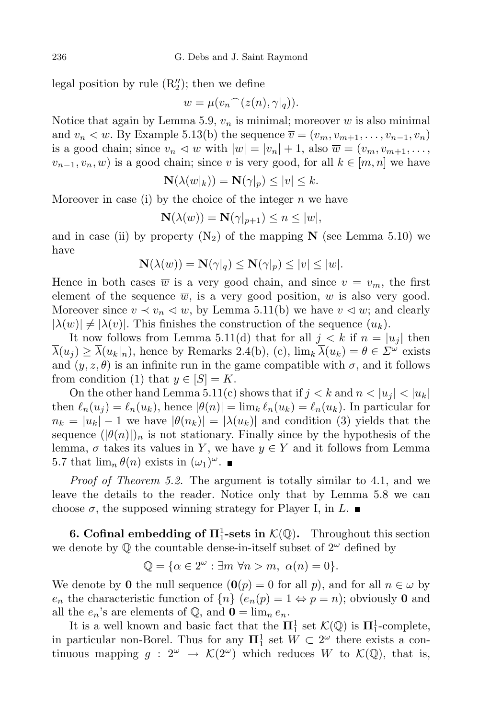legal position by rule  $(R_2'')$ ; then we define

$$
w = \mu(v_n \widehat{\phantom{\alpha}}(z(n), \gamma|_q)).
$$

Notice that again by Lemma 5.9,  $v_n$  is minimal; moreover  $w$  is also minimal and  $v_n \triangleleft w$ . By Example 5.13(b) the sequence  $\overline{v} = (v_m, v_{m+1}, \ldots, v_{n-1}, v_n)$ is a good chain; since  $v_n \triangleleft w$  with  $|w| = |v_n| + 1$ , also  $\overline{w} = (v_m, v_{m+1}, \dots, v_m)$  $v_{n-1}, v_n, w$  is a good chain; since *v* is very good, for all  $k \in [m, n]$  we have

$$
\mathbf{N}(\lambda(w|_k)) = \mathbf{N}(\gamma|_p) \le |v| \le k.
$$

Moreover in case (i) by the choice of the integer *n* we have

$$
\mathbf{N}(\lambda(w)) = \mathbf{N}(\gamma|_{p+1}) \le n \le |w|,
$$

and in case (ii) by property  $(N_2)$  of the mapping **N** (see Lemma 5.10) we have

$$
\mathbf{N}(\lambda(w)) = \mathbf{N}(\gamma|_q) \le \mathbf{N}(\gamma|_p) \le |v| \le |w|.
$$

Hence in both cases  $\overline{w}$  is a very good chain, and since  $v = v_m$ , the first element of the sequence  $\overline{w}$ , is a very good position,  $w$  is also very good. Moreover since  $v \prec v_n \prec w$ , by Lemma 5.11(b) we have  $v \prec w$ ; and clearly  $|\lambda(w)| \neq |\lambda(v)|$ . This finishes the construction of the sequence  $(u_k)$ .

It now follows from Lemma 5.11(d) that for all  $j < k$  if  $n = |u_j|$  then  $\overline{\lambda}(u_j) \geq \overline{\lambda}(u_k|_n)$ , hence by Remarks 2.4(b), (c),  $\lim_k \overline{\lambda}(u_k) = \theta \in \Sigma^{\omega}$  exists and  $(y, z, \theta)$  is an infinite run in the game compatible with  $\sigma$ , and it follows from condition (1) that  $y \in [S] = K$ .

On the other hand Lemma 5.11(c) shows that if  $j < k$  and  $n < |u_j| < |u_k|$ then  $\ell_n(u_j) = \ell_n(u_k)$ , hence  $|\theta(n)| = \lim_k \ell_n(u_k) = \ell_n(u_k)$ . In particular for  $n_k = |u_k| - 1$  we have  $|\theta(n_k)| = |\lambda(u_k)|$  and condition (3) yields that the sequence  $(|\theta(n)|)_n$  is not stationary. Finally since by the hypothesis of the lemma,  $\sigma$  takes its values in *Y*, we have  $y \in Y$  and it follows from Lemma 5.7 that  $\lim_{n} \theta(n)$  exists in  $(\omega_1)^{\omega}$ .

*Proof of Theorem 5.2.* The argument is totally similar to 4.1, and we leave the details to the reader. Notice only that by Lemma 5.8 we can choose  $\sigma$ , the supposed winning strategy for Player I, in *L*.

**6. Cofinal embedding of**  $\Pi_1^1$ **-sets in**  $K(\mathbb{Q})$ . Throughout this section we denote by  $\mathbb Q$  the countable dense-in-itself subset of  $2^\omega$  defined by

$$
\mathbb{Q} = \{ \alpha \in 2^{\omega} : \exists m \; \forall n > m, \; \alpha(n) = 0 \}.
$$

We denote by **0** the null sequence  $(\mathbf{0}(p) = 0$  for all  $p)$ , and for all  $n \in \omega$  by *e<sub>n</sub>* the characteristic function of  $\{n\}$  ( $e_n(p) = 1 \Leftrightarrow p = n$ ); obviously **0** and all the  $e_n$ 's are elements of  $\mathbb{Q}$ , and  $\mathbf{0} = \lim_n e_n$ .

It is a well known and basic fact that the  $\Pi_1^1$  set  $\mathcal{K}(\mathbb{Q})$  is  $\Pi_1^1$ -complete, in particular non-Borel. Thus for any  $\Pi_1^1$  set  $W \subset 2^\omega$  there exists a continuous mapping  $g: 2^{\omega} \rightarrow \mathcal{K}(2^{\omega})$  which reduces W to  $\mathcal{K}(\mathbb{Q})$ , that is,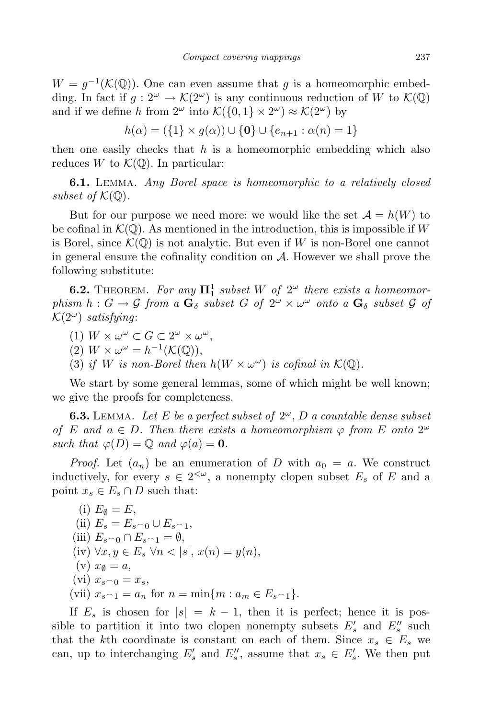$W = g^{-1}(\mathcal{K}(\mathbb{Q}))$ . One can even assume that *g* is a homeomorphic embedding. In fact if  $g: 2^{\omega} \to \mathcal{K}(2^{\omega})$  is any continuous reduction of *W* to  $\mathcal{K}(\mathbb{Q})$ and if we define *h* from  $2^{\omega}$  into  $\mathcal{K}(\{0,1\} \times 2^{\omega}) \approx \mathcal{K}(2^{\omega})$  by

 $h(\alpha) = (\{1\} \times q(\alpha)) \cup \{0\} \cup \{e_{n+1} : \alpha(n) = 1\}$ 

then one easily checks that *h* is a homeomorphic embedding which also reduces *W* to  $\mathcal{K}(\mathbb{Q})$ . In particular:

**6.1.** Lemma. *Any Borel space is homeomorphic to a relatively closed subset of*  $K(\mathbb{Q})$ *.* 

But for our purpose we need more: we would like the set  $A = h(W)$  to be cofinal in  $K(\mathbb{Q})$ . As mentioned in the introduction, this is impossible if W is Borel, since  $\mathcal{K}(\mathbb{Q})$  is not analytic. But even if *W* is non-Borel one cannot in general ensure the cofinality condition on *A*. However we shall prove the following substitute:

**6.2.** THEOREM. For any  $\Pi_1^1$  subset W of  $2^\omega$  there exists a homeomorphism  $h: G \to \mathcal{G}$  from a  $\mathbf{G}_{\delta}$  subset G of  $2^{\omega} \times \omega^{\omega}$  onto a  $\mathbf{G}_{\delta}$  subset  $\mathcal{G}$  of  $\mathcal{K}(2^{\omega})$  *satisfying*:

- $(1)$   $W \times \omega^{\omega} \subset G \subset 2^{\omega} \times \omega^{\omega}$ ,
- $(2)$   $W \times \omega^{\omega} = h^{-1}(\mathcal{K}(\mathbb{Q})),$
- (3) *if W is non-Borel then*  $h(W \times \omega^{\omega})$  *is cofinal in*  $K(\mathbb{Q})$ *.*

We start by some general lemmas, some of which might be well known; we give the proofs for completeness.

**6.3.** LEMMA. Let E be a perfect subset of  $2^\omega$ , D a countable dense subset *of E and*  $a \in D$ *. Then there exists a homeomorphism*  $\varphi$  *from E onto* 2<sup>*ω*</sup> *such that*  $\varphi(D) = \mathbb{Q}$  *and*  $\varphi(a) = \mathbf{0}$ *.* 

*Proof.* Let  $(a_n)$  be an enumeration of *D* with  $a_0 = a$ . We construct inductively, for every  $s \in 2^{\lt \omega}$ , a nonempty clopen subset  $E_s$  of  $E$  and a point  $x_s \in E_s \cap D$  such that:

(i) 
$$
E_{\emptyset} = E
$$
, \n(ii)  $E_s = E_{s \cap 0} \cup E_{s \cap 1}$ , \n(iii)  $E_{s \cap 0} \cap E_{s \cap 1} = \emptyset$ , \n(iv)  $\forall x, y \in E_s \forall n < |s|, x(n) = y(n)$ , \n(v)  $x_{\emptyset} = a$ , \n(vi)  $x_{s \cap 0} = x_s$ , \n(vii)  $x_{s \cap 1} = a_n$  for  $n = \min\{m : a_m \in E_{s \cap 1}\}$ .

If  $E_s$  is chosen for  $|s| = k - 1$ , then it is perfect; hence it is possible to partition it into two clopen nonempty subsets  $E'_{s}$  and  $E''_{s}$  such that the *k*th coordinate is constant on each of them. Since  $x_s \in E_s$  we can, up to interchanging  $E'_{s}$  and  $E''_{s}$ , assume that  $x_{s} \in E'_{s}$ . We then put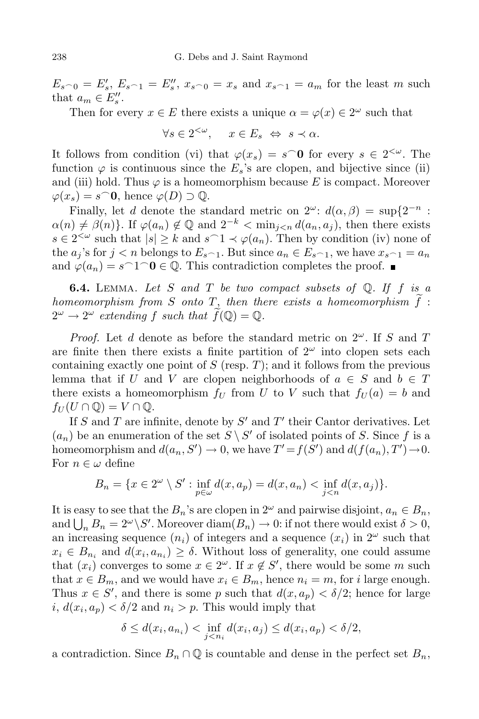$E_{s_0} = E'_s, E_{s_0} = E''_s, x_{s_0} = x_s$  and  $x_{s_0} = a_m$  for the least m such that  $a_m \in E_s''$ .

Then for every  $x \in E$  there exists a unique  $\alpha = \varphi(x) \in 2^{\omega}$  such that

$$
\forall s \in 2^{<\omega}, \quad x \in E_s \Leftrightarrow s \prec \alpha.
$$

It follows from condition (vi) that  $\varphi(x_s) = s \circ 0$  for every  $s \in 2^{<\omega}$ . The function  $\varphi$  is continuous since the  $E_s$ 's are clopen, and bijective since (ii) and (iii) hold. Thus  $\varphi$  is a homeomorphism because E is compact. Moreover  $\varphi(x_s) = s$  **∂** 0, hence  $\varphi(D)$  ⊃  $\mathbb{Q}$ .

Finally, let *d* denote the standard metric on  $2^{\omega}$ :  $d(\alpha, \beta) = \sup\{2^{-n}$ :  $\alpha(n) \neq \beta(n)$ . If  $\varphi(a_n) \notin \mathbb{Q}$  and  $2^{-k} < \min_{j \leq n} d(a_n, a_j)$ , then there exists  $s \in 2^{<\omega}$  such that  $|s| \geq k$  and  $s \cap 1 \prec \varphi(a_n)$ . Then by condition (iv) none of the  $a_j$ 's for  $j < n$  belongs to  $E_{s-1}$ . But since  $a_n \in E_{s-1}$ , we have  $x_{s-1} = a_n$ and  $\varphi(a_n) = s \cap 1 \cap 0 \in \mathbb{Q}$ . This contradiction completes the proof.  $\blacksquare$ 

**6.4.** Lemma. *Let S and T be two compact subsets of* Q*. If f is a homeomorphism from S onto T*, *then there exists a homeomorphism*  $f$ :  $2^{\omega} \rightarrow 2^{\omega}$  *extending*  $f$  *such that*  $f(\mathbb{Q}) = \mathbb{Q}$ *.* 

*Proof.* Let *d* denote as before the standard metric on 2 *<sup>ω</sup>*. If *S* and *T* are finite then there exists a finite partition of  $2^{\omega}$  into clopen sets each containing exactly one point of  $S$  (resp.  $T$ ); and it follows from the previous lemma that if *U* and *V* are clopen neighborhoods of  $a \in S$  and  $b \in T$ there exists a homeomorphism  $f_U$  from *U* to *V* such that  $f_U(a) = b$  and  $f_U(U \cap \mathbb{Q}) = V \cap \mathbb{Q}.$ 

If *S* and *T* are infinite, denote by  $S'$  and  $T'$  their Cantor derivatives. Let  $(a_n)$  be an enumeration of the set  $S \setminus S'$  of isolated points of *S*. Since *f* is a homeomorphism and  $d(a_n, S') \to 0$ , we have  $T' = f(S')$  and  $d(f(a_n), T') \to 0$ . For  $n \in \omega$  define

$$
B_n = \{x \in 2^{\omega} \setminus S' : \inf_{p \in \omega} d(x, a_p) = d(x, a_n) < \inf_{j < n} d(x, a_j)\}.
$$

It is easy to see that the  $B_n$ 's are clopen in  $2^{\omega}$  and pairwise disjoint,  $a_n \in B_n$ , and  $\bigcup_n B_n = 2^{\omega} \setminus S'$ . Moreover diam $(B_n) \to 0$ : if not there would exist  $\delta > 0$ , an increasing sequence  $(n_i)$  of integers and a sequence  $(x_i)$  in  $2^{\omega}$  such that  $x_i \in B_{n_i}$  and  $d(x_i, a_{n_i}) \geq \delta$ . Without loss of generality, one could assume that  $(x_i)$  converges to some  $x \in 2^\omega$ . If  $x \notin S'$ , there would be some *m* such that  $x \in B_m$ , and we would have  $x_i \in B_m$ , hence  $n_i = m$ , for *i* large enough. Thus  $x \in S'$ , and there is some *p* such that  $d(x, a_p) < \delta/2$ ; hence for large *i*,  $d(x_i, a_p) < \delta/2$  and  $n_i > p$ . This would imply that

$$
\delta \le d(x_i, a_{n_i}) < \inf_{j < n_i} d(x_i, a_j) \le d(x_i, a_p) < \delta/2,
$$

a contradiction. Since  $B_n \cap \mathbb{Q}$  is countable and dense in the perfect set  $B_n$ ,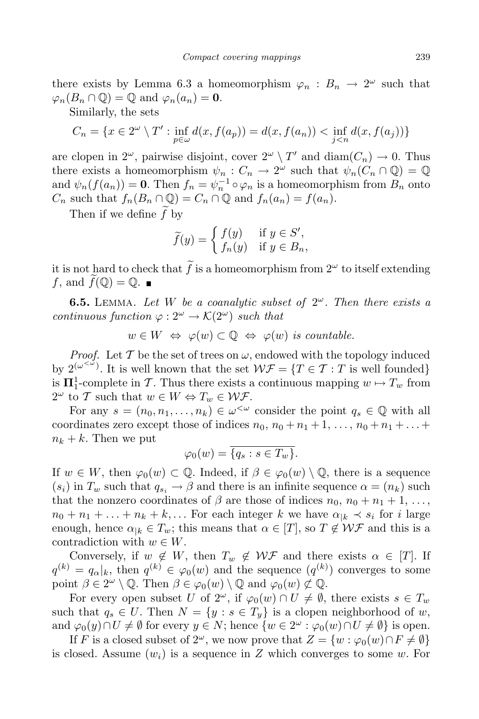there exists by Lemma 6.3 a homeomorphism  $\varphi_n : B_n \to 2^{\omega}$  such that  $\varphi_n(B_n \cap \mathbb{Q}) = \mathbb{Q}$  and  $\varphi_n(a_n) = \mathbf{0}$ .

Similarly, the sets

$$
C_n = \{ x \in 2^{\omega} \setminus T' : \inf_{p \in \omega} d(x, f(a_p)) = d(x, f(a_n)) < \inf_{j < n} d(x, f(a_j)) \}
$$

are clopen in  $2^{\omega}$ , pairwise disjoint, cover  $2^{\omega} \setminus T'$  and  $\text{diam}(C_n) \to 0$ . Thus there exists a homeomorphism  $\psi_n : C_n \to 2^{\omega}$  such that  $\psi_n(C_n \cap \mathbb{Q}) = \mathbb{Q}$ and  $\psi_n(f(a_n)) = \mathbf{0}$ . Then  $f_n = \psi_n^{-1} \circ \varphi_n$  is a homeomorphism from  $B_n$  onto  $C_n$  such that  $f_n(B_n \cap \mathbb{Q}) = C_n \cap \mathbb{Q}$  and  $f_n(a_n) = f(a_n)$ .

Then if we define f by

$$
\widetilde{f}(y) = \begin{cases} f(y) & \text{if } y \in S', \\ f_n(y) & \text{if } y \in B_n, \end{cases}
$$

it is not hard to check that  $\hat{f}$  is a homeomorphism from  $2^{\omega}$  to itself extending *f*, and  $\widetilde{f}(\mathbb{Q}) = \mathbb{Q}$ .

**6.5.** LEMMA. Let W be a coanalytic subset of  $2^{\omega}$ . Then there exists a *continuous function*  $\varphi : 2^{\omega} \to \mathcal{K}(2^{\omega})$  *such that* 

$$
w \in W \iff \varphi(w) \subset \mathbb{Q} \iff \varphi(w) \text{ is countable.}
$$

*Proof.* Let  $\mathcal T$  be the set of trees on  $\omega$ , endowed with the topology induced by  $2^{(\omega^{<\omega})}$ . It is well known that the set  $W\mathcal{F} = \{T \in \mathcal{T} : T \text{ is well founded}\}$ is  $\Pi_1^1$ -complete in *T*. Thus there exists a continuous mapping  $w \mapsto T_w$  from  $2^{\omega}$  to *T* such that  $w \in W \Leftrightarrow T_w \in \mathcal{WF}.$ 

For any  $s = (n_0, n_1, \ldots, n_k) \in \omega^{\lt \omega}$  consider the point  $q_s \in \mathbb{Q}$  with all coordinates zero except those of indices  $n_0$ ,  $n_0 + n_1 + 1$ ,  $\dots$ ,  $n_0 + n_1 + \dots$  $n_k + k$ . Then we put

$$
\varphi_0(w) = \overline{\{q_s : s \in T_w\}}.
$$

If  $w \in W$ , then  $\varphi_0(w) \subset \mathbb{Q}$ . Indeed, if  $\beta \in \varphi_0(w) \setminus \mathbb{Q}$ , there is a sequence  $(s_i)$  in  $T_w$  such that  $q_{s_i} \to \beta$  and there is an infinite sequence  $\alpha = (n_k)$  such that the nonzero coordinates of  $\beta$  are those of indices  $n_0$ ,  $n_0 + n_1 + 1$ , ...,  $n_0 + n_1 + \ldots + n_k + k, \ldots$  For each integer *k* we have  $\alpha_{k} \prec s_i$  for *i* large enough, hence  $\alpha_{k} \in T_{w}$ ; this means that  $\alpha \in [T]$ , so  $T \notin \mathcal{WF}$  and this is a contradiction with  $w \in W$ .

Conversely, if  $w \notin W$ , then  $T_w \notin W\mathcal{F}$  and there exists  $\alpha \in [T]$ . If  $q^{(k)} = q_{\alpha}|_k$ , then  $q^{(k)} \in \varphi_0(w)$  and the sequence  $(q^{(k)})$  converges to some point  $\beta \in 2^{\omega} \setminus \mathbb{Q}$ . Then  $\beta \in \varphi_0(w) \setminus \mathbb{Q}$  and  $\varphi_0(w) \not\subset \mathbb{Q}$ .

For every open subset *U* of  $2^{\omega}$ , if  $\varphi_0(w) \cap U \neq \emptyset$ , there exists  $s \in T_w$ such that  $q_s \in U$ . Then  $N = \{y : s \in T_y\}$  is a clopen neighborhood of *w*, and  $\varphi_0(y) \cap U \neq \emptyset$  for every  $y \in N$ ; hence  $\{w \in 2^\omega : \varphi_0(w) \cap U \neq \emptyset\}$  is open.

If *F* is a closed subset of  $2^{\omega}$ , we now prove that  $Z = \{w : \varphi_0(w) \cap F \neq \emptyset\}$ is closed. Assume  $(w_i)$  is a sequence in Z which converges to some  $w$ . For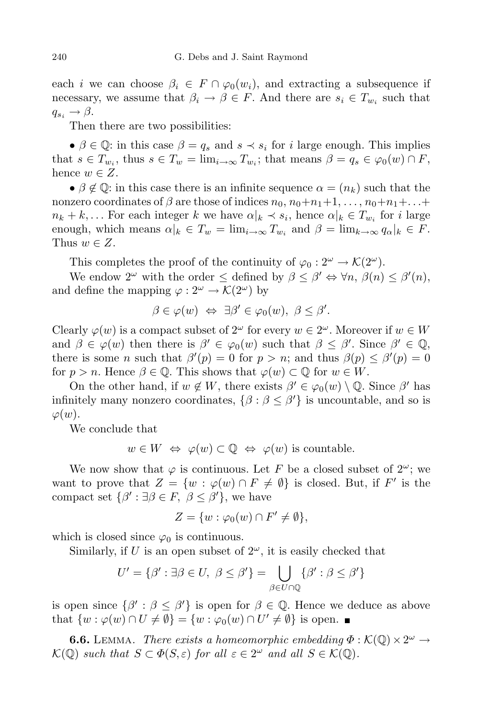each *i* we can choose  $\beta_i \in F \cap \varphi_0(w_i)$ , and extracting a subsequence if necessary, we assume that  $\beta_i \to \beta \in F$ . And there are  $s_i \in T_{w_i}$  such that  $q_{s_i} \rightarrow \beta$ .

Then there are two possibilities:

•  $\beta \in \mathbb{Q}$ : in this case  $\beta = q_s$  and  $s \prec s_i$  for *i* large enough. This implies that  $s \in T_{w_i}$ , thus  $s \in T_w = \lim_{i \to \infty} T_{w_i}$ ; that means  $\beta = q_s \in \varphi_0(w) \cap F$ , hence  $w \in Z$ .

•  $\beta \notin \mathbb{Q}$ : in this case there is an infinite sequence  $\alpha = (n_k)$  such that the nonzero coordinates of  $\beta$  are those of indices  $n_0, n_0+n_1+1, \ldots, n_0+n_1+\ldots+$  $n_k + k, \ldots$  For each integer k we have  $\alpha|_k \prec s_i$ , hence  $\alpha|_k \in T_{w_i}$  for i large enough, which means  $\alpha|_k \in T_w = \lim_{i \to \infty} T_{w_i}$  and  $\beta = \lim_{k \to \infty} q_\alpha|_k \in F$ . Thus  $w \in Z$ .

This completes the proof of the continuity of  $\varphi_0 : 2^{\omega} \to \mathcal{K}(2^{\omega})$ .

We endow  $2^{\omega}$  with the order  $\leq$  defined by  $\beta \leq \beta' \Leftrightarrow \forall n, \beta(n) \leq \beta'(n)$ , and define the mapping  $\varphi : 2^{\omega} \to \mathcal{K}(2^{\omega})$  by

$$
\beta \in \varphi(w) \iff \exists \beta' \in \varphi_0(w), \ \beta \le \beta'.
$$

Clearly  $\varphi(w)$  is a compact subset of  $2^{\omega}$  for every  $w \in 2^{\omega}$ . Moreover if  $w \in W$ and  $\beta \in \varphi(w)$  then there is  $\beta' \in \varphi_0(w)$  such that  $\beta \leq \beta'$ . Since  $\beta' \in \mathbb{Q}$ , there is some *n* such that  $\beta'(p) = 0$  for  $p > n$ ; and thus  $\beta(p) \leq \beta'(p) = 0$ for  $p > n$ . Hence  $\beta \in \mathbb{Q}$ . This shows that  $\varphi(w) \subset \mathbb{Q}$  for  $w \in W$ .

On the other hand, if  $w \notin W$ , there exists  $\beta' \in \varphi_0(w) \setminus \mathbb{Q}$ . Since  $\beta'$  has infinitely many nonzero coordinates,  $\{\beta : \beta \leq \beta'\}$  is uncountable, and so is *ϕ*(*w*).

We conclude that

$$
w \in W \iff \varphi(w) \subset \mathbb{Q} \iff \varphi(w)
$$
 is countable.

We now show that  $\varphi$  is continuous. Let F be a closed subset of  $2^{\omega}$ ; we want to prove that  $Z = \{w : \varphi(w) \cap F \neq \emptyset\}$  is closed. But, if  $F'$  is the compact set  $\{\beta': \exists \beta \in F, \ \beta \le \beta'\}$ , we have

$$
Z = \{w : \varphi_0(w) \cap F' \neq \emptyset\},\
$$

which is closed since  $\varphi_0$  is continuous.

Similarly, if  $U$  is an open subset of  $2^{\omega}$ , it is easily checked that

$$
U' = \{ \beta' : \exists \beta \in U, \ \beta \le \beta' \} = \bigcup_{\beta \in U \cap \mathbb{Q}} \{ \beta' : \beta \le \beta' \}
$$

is open since  $\{\beta': \beta \leq \beta'\}$  is open for  $\beta \in \mathbb{Q}$ . Hence we deduce as above that  $\{w : \varphi(w) \cap U \neq \emptyset\} = \{w : \varphi_0(w) \cap U' \neq \emptyset\}$  is open.

**6.6.** LEMMA. *There exists a homeomorphic embedding*  $\Phi : \mathcal{K}(\mathbb{Q}) \times 2^{\omega} \rightarrow$  $\mathcal{K}(\mathbb{Q})$  *such that*  $S \subset \Phi(S, \varepsilon)$  *for all*  $\varepsilon \in 2^{\omega}$  *and all*  $S \in \mathcal{K}(\mathbb{Q})$ *.*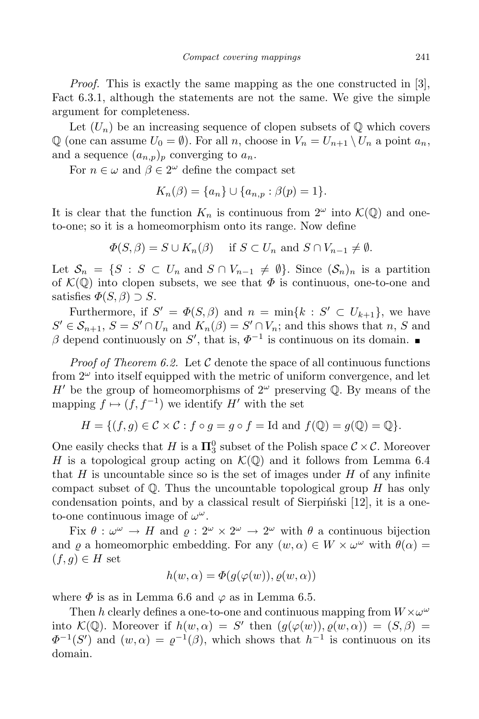*Proof.* This is exactly the same mapping as the one constructed in [3], Fact 6.3.1, although the statements are not the same. We give the simple argument for completeness.

Let  $(U_n)$  be an increasing sequence of clopen subsets of  $\mathbb Q$  which covers  $\mathbb{Q}$  (one can assume  $U_0 = \emptyset$ ). For all *n*, choose in  $V_n = U_{n+1} \setminus U_n$  a point  $a_n$ , and a sequence  $(a_{n,p})_p$  converging to  $a_n$ .

For  $n \in \omega$  and  $\beta \in 2^{\omega}$  define the compact set

$$
K_n(\beta) = \{a_n\} \cup \{a_{n,p} : \beta(p) = 1\}.
$$

It is clear that the function  $K_n$  is continuous from  $2^{\omega}$  into  $\mathcal{K}(\mathbb{Q})$  and oneto-one; so it is a homeomorphism onto its range. Now define

$$
\Phi(S,\beta) = S \cup K_n(\beta) \quad \text{if } S \subset U_n \text{ and } S \cap V_{n-1} \neq \emptyset.
$$

Let  $S_n = \{S : S \subset U_n \text{ and } S \cap V_{n-1} \neq \emptyset\}$ . Since  $(S_n)_n$  is a partition of  $\mathcal{K}(\mathbb{Q})$  into clopen subsets, we see that  $\Phi$  is continuous, one-to-one and satisfies  $\Phi(S, \beta) \supset S$ .

Furthermore, if  $S' = \Phi(S, \beta)$  and  $n = \min\{k : S' \subset U_{k+1}\}$ , we have  $S' \in S_{n+1}, S = S' \cap U_n$  and  $K_n(\beta) = S' \cap V_n$ ; and this shows that *n*, *S* and  $\beta$  depend continuously on *S*<sup>'</sup>, that is,  $\Phi^{-1}$  is continuous on its domain.

*Proof* of Theorem 6.2. Let  $C$  denote the space of all continuous functions from  $2^{\omega}$  into itself equipped with the metric of uniform convergence, and let  $H'$  be the group of homeomorphisms of  $2^{\omega}$  preserving Q. By means of the mapping  $f \mapsto (f, f^{-1})$  we identify  $H'$  with the set

$$
H = \{ (f, g) \in \mathcal{C} \times \mathcal{C} : f \circ g = g \circ f = \text{Id} \text{ and } f(\mathbb{Q}) = g(\mathbb{Q}) = \mathbb{Q} \}.
$$

One easily checks that *H* is a  $\Pi_3^0$  subset of the Polish space  $C \times C$ . Moreover *H* is a topological group acting on  $\mathcal{K}(\mathbb{Q})$  and it follows from Lemma 6.4 that  $H$  is uncountable since so is the set of images under  $H$  of any infinite compact subset of Q. Thus the uncountable topological group *H* has only condensation points, and by a classical result of Sierpiński [12], it is a oneto-one continuous image of  $\omega^{\omega}$ .

Fix  $\theta : \omega^{\omega} \to H$  and  $\varrho : 2^{\omega} \times 2^{\omega} \to 2^{\omega}$  with  $\theta$  a continuous bijection and  $\rho$  a homeomorphic embedding. For any  $(w, \alpha) \in W \times \omega^{\omega}$  with  $\theta(\alpha) =$  $(f, g) \in H$  set

$$
h(w, \alpha) = \Phi(g(\varphi(w)), \varrho(w, \alpha))
$$

where  $\Phi$  is as in Lemma 6.6 and  $\varphi$  as in Lemma 6.5.

Then *h* clearly defines a one-to-one and continuous mapping from  $W \times \omega^{\omega}$ into  $\mathcal{K}(\mathbb{Q})$ . Moreover if  $h(w, \alpha) = S'$  then  $(g(\varphi(w)), \varrho(w, \alpha)) = (S, \beta) =$  $\Phi^{-1}(S')$  and  $(w, \alpha) = \varrho^{-1}(\beta)$ , which shows that  $h^{-1}$  is continuous on its domain.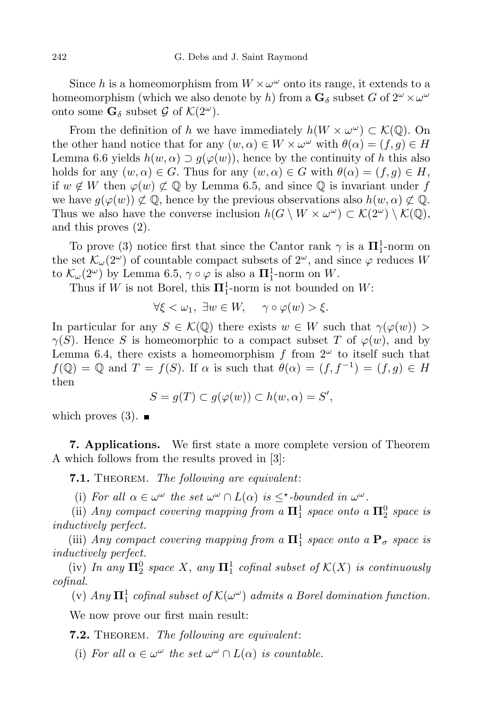Since *h* is a homeomorphism from  $W \times \omega^{\omega}$  onto its range, it extends to a homeomorphism (which we also denote by *h*) from a  $\mathbf{G}_{\delta}$  subset *G* of  $2^{\omega} \times \omega^{\omega}$ onto some  $\mathbf{G}_{\delta}$  subset  $\mathcal{G}$  of  $\mathcal{K}(2^{\omega})$ .

From the definition of *h* we have immediately  $h(W \times \omega^{\omega}) \subset \mathcal{K}(\mathbb{Q})$ . On the other hand notice that for any  $(w, \alpha) \in W \times \omega^{\omega}$  with  $\theta(\alpha) = (f, g) \in H$ Lemma 6.6 yields  $h(w, \alpha) \supset q(\varphi(w))$ , hence by the continuity of *h* this also holds for any  $(w, \alpha) \in G$ . Thus for any  $(w, \alpha) \in G$  with  $\theta(\alpha) = (f, g) \in H$ , if *w* ∉ *W* then  $\varphi(w)$  ⊄ ℚ by Lemma 6.5, and since ℚ is invariant under *f* we have  $q(\varphi(w)) \not\subset \mathbb{Q}$ , hence by the previous observations also  $h(w, \alpha) \not\subset \mathbb{Q}$ . Thus we also have the converse inclusion  $h(G \setminus W \times \omega^{\omega}) \subset \mathcal{K}(2^{\omega}) \setminus \mathcal{K}(\mathbb{Q}),$ and this proves (2).

To prove (3) notice first that since the Cantor rank  $\gamma$  is a  $\Pi_1^1$ -norm on the set  $\mathcal{K}_{\omega}(2^{\omega})$  of countable compact subsets of  $2^{\omega}$ , and since  $\varphi$  reduces *W* to  $\mathcal{K}_{\omega}(2^{\omega})$  by Lemma 6.5,  $\gamma \circ \varphi$  is also a  $\Pi_1^1$ -norm on W.

Thus if *W* is not Borel, this  $\Pi_1^1$ -norm is not bounded on *W*:

$$
\forall \xi < \omega_1, \ \exists w \in W, \quad \gamma \circ \varphi(w) > \xi.
$$

In particular for any  $S \in \mathcal{K}(\mathbb{Q})$  there exists  $w \in W$  such that  $\gamma(\varphi(w)) >$ *γ*(*S*). Hence *S* is homeomorphic to a compact subset *T* of  $\varphi(w)$ , and by Lemma 6.4, there exists a homeomorphism  $f$  from  $2^{\omega}$  to itself such that  $f(\mathbb{Q}) = \mathbb{Q}$  and  $T = f(S)$ . If  $\alpha$  is such that  $\theta(\alpha) = (f, f^{-1}) = (f, g) \in H$ then

$$
S = g(T) \subset g(\varphi(w)) \subset h(w, \alpha) = S',
$$

which proves  $(3)$ .

**7. Applications.** We first state a more complete version of Theorem A which follows from the results proved in [3]:

**7.1.** Theorem. *The following are equivalent*:

(i) For all  $\alpha \in \omega^{\omega}$  the set  $\omega^{\omega} \cap L(\alpha)$  is  $\leq^{\star}$ -bounded in  $\omega^{\omega}$ .

(ii) *Any compact covering* mapping from a  $\Pi_1^1$  *space onto* a  $\Pi_2^0$  *space is inductively perfect.*

(iii) *Any compact covering* mapping *from* a  $\Pi_1^1$  *space onto* a  $\mathbf{P}_{\sigma}$  *space is inductively perfect.*

 $\mathbf{M}^0$  *In any*  $\mathbf{\Pi}^0$  *space X*, any  $\mathbf{\Pi}^1$  *cofinal subset of*  $\mathcal{K}(X)$  *is continuously cofinal.*

 $(v)$  *Any*  $\Pi_1^1$  *cofinal subset of*  $\mathcal{K}(\omega^{\omega})$  *admits a Borel domination function.* 

We now prove our first main result:

**7.2.** Theorem. *The following are equivalent*:

(i) For all  $\alpha \in \omega^{\omega}$  the set  $\omega^{\omega} \cap L(\alpha)$  is countable.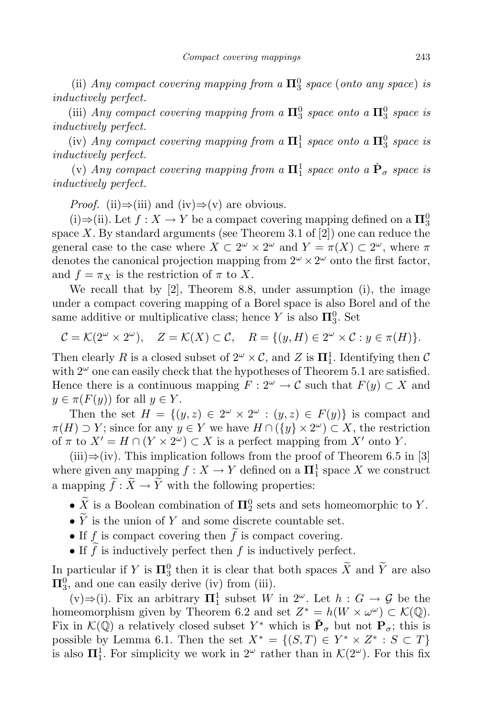(ii) *Any compact covering* mapping from a  $\Pi_3^0$  *space* (*onto any space*) *is inductively perfect.*

(iii) *Any compact covering* mapping from a  $\Pi_3^0$  space onto a  $\Pi_3^0$  space is *inductively perfect.*

(iv) *Any compact covering* mapping from a  $\Pi_1^1$  space onto a  $\Pi_3^0$  space is *inductively perfect.*

 $(v)$  *Any compact covering mapping from a*  $\mathbf{\Pi}^1_1$  *space onto a*  $\check{\mathbf{P}}_{\sigma}$  *space is inductively perfect.*

*Proof.* (ii)*⇒*(iii) and (iv)*⇒*(v) are obvious.

(i) $\Rightarrow$ (ii). Let  $f: X \to Y$  be a compact covering mapping defined on a  $\Pi_3^0$ space  $X$ . By standard arguments (see Theorem 3.1 of  $[2]$ ) one can reduce the general case to the case where  $X \subset 2^{\omega} \times 2^{\omega}$  and  $Y = \pi(X) \subset 2^{\omega}$ , where  $\pi$ denotes the canonical projection mapping from  $2^{\omega} \times 2^{\omega}$  onto the first factor, and  $f = \pi_X$  is the restriction of  $\pi$  to X.

We recall that by [2], Theorem 8.8, under assumption (i), the image under a compact covering mapping of a Borel space is also Borel and of the same additive or multiplicative class; hence *Y* is also  $\Pi_3^0$ . Set

$$
\mathcal{C} = \mathcal{K}(2^{\omega} \times 2^{\omega}), \quad Z = \mathcal{K}(X) \subset \mathcal{C}, \quad R = \{(y, H) \in 2^{\omega} \times \mathcal{C} : y \in \pi(H)\}.
$$

Then clearly *R* is a closed subset of  $2^{\omega} \times \mathcal{C}$ , and *Z* is  $\Pi_1^1$ . Identifying then *C* with  $2^{\omega}$  one can easily check that the hypotheses of Theorem 5.1 are satisfied. Hence there is a continuous mapping  $F: 2^{\omega} \to \mathcal{C}$  such that  $F(y) \subset X$  and  $y \in \pi(F(y))$  for all  $y \in Y$ .

Then the set  $H = \{(y, z) \in 2^{\omega} \times 2^{\omega} : (y, z) \in F(y)\}$  is compact and  $\pi(H) \supset Y$ ; since for any  $y \in Y$  we have  $H \cap (\{y\} \times 2^{\omega}) \subset X$ , the restriction of  $\pi$  to  $X' = H \cap (Y \times 2^{\omega}) \subset X$  is a perfect mapping from  $X'$  onto  $Y$ .

(iii)*⇒*(iv). This implication follows from the proof of Theorem 6.5 in [3] where given any mapping  $f: X \to Y$  defined on a  $\mathbf{\Pi}^1_1$  space X we construct a mapping  $\widetilde{f}: \widetilde{X} \to \widetilde{Y}$  with the following properties:

- $\overline{X}$  is a Boolean combination of  $\Pi_2^0$  sets and sets homeomorphic to *Y*.
- $\bullet$   $\widetilde{Y}$  is the union of  $Y$  and some discrete countable set.
- If  $f$  is compact covering then  $\tilde{f}$  is compact covering.
- If  $\tilde{f}$  is inductively perfect then  $f$  is inductively perfect.

In particular if *Y* is  $\Pi_3^0$  then it is clear that both spaces  $\tilde{X}$  and  $\tilde{Y}$  are also  $\Pi_3^0$ , and one can easily derive (iv) from (iii).

(v)⇒(i). Fix an arbitrary  $\Pi_1^1$  subset *W* in  $2^\omega$ . Let *h* : *G* → *G* be the homeomorphism given by Theorem 6.2 and set  $Z^* = h(W \times \omega^\omega) \subset \mathcal{K}(\mathbb{Q})$ . Fix in  $\mathcal{K}(\mathbb{Q})$  a relatively closed subset  $Y^*$  which is  $\mathbf{P}_{\sigma}$  but not  $\mathbf{P}_{\sigma}$ ; this is possible by Lemma 6.1. Then the set  $X^* = \{(S, T) \in Y^* \times Z^* : S \subset T\}$ is also  $\Pi_1^1$ . For simplicity we work in  $2^{\omega}$  rather than in  $\mathcal{K}(2^{\omega})$ . For this fix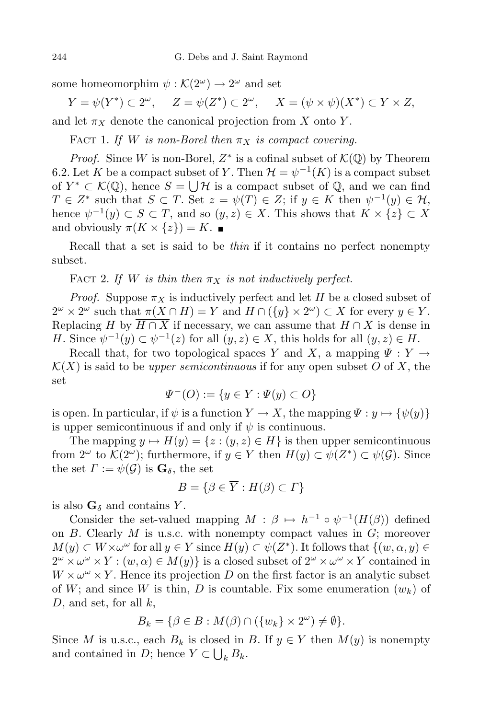some homeomorphim  $\psi$ :  $\mathcal{K}(2^{\omega}) \to 2^{\omega}$  and set

 $Y = \psi(Y^*) \subset 2^{\omega}, \quad Z = \psi(Z^*) \subset 2^{\omega}, \quad X = (\psi \times \psi)(X^*) \subset Y \times Z,$ and let  $\pi_X$  denote the canonical projection from *X* onto *Y*.

FACT 1. If *W* is non-Borel then  $\pi_X$  is compact covering.

*Proof.* Since *W* is non-Borel,  $Z^*$  is a cofinal subset of  $K(\mathbb{Q})$  by Theorem 6.2. Let *K* be a compact subset of *Y*. Then  $\mathcal{H} = \psi^{-1}(K)$  is a compact subset of *Y*<sup>\*</sup> ⊂  $\mathcal{K}(\mathbb{Q})$ , hence  $S = \bigcup_{\alpha} \mathcal{H}$  is a compact subset of  $\mathbb{Q}$ , and we can find  $T \in \mathbb{Z}^*$  such that  $S \subset T$ . Set  $z = \psi(T) \in \mathbb{Z}$ ; if  $y \in K$  then  $\psi^{-1}(y) \in \mathcal{H}$ , hence  $\psi^{-1}(y) \subset S \subset T$ , and so  $(y, z) \in X$ . This shows that  $K \times \{z\} \subset X$ and obviously  $\pi(K \times \{z\}) = K$ .

Recall that a set is said to be *thin* if it contains no perfect nonempty subset.

FACT 2. If *W* is thin then  $\pi_X$  is not inductively perfect.

*Proof.* Suppose  $\pi_X$  is inductively perfect and let *H* be a closed subset of  $2^{\omega} \times 2^{\omega}$  such that  $\pi(X \cap H) = Y$  and  $H \cap (\{y\} \times 2^{\omega}) \subset X$  for every  $y \in Y$ . Replacing *H* by  $\overline{H \cap X}$  if necessary, we can assume that  $H \cap X$  is dense in *H*. Since  $\psi^{-1}(y) \subset \psi^{-1}(z)$  for all  $(y, z) \in X$ , this holds for all  $(y, z) \in H$ .

Recall that, for two topological spaces *Y* and *X*, a mapping  $\Psi : Y \to Y$  $K(X)$  is said to be *upper semicontinuous* if for any open subset *O* of *X*, the set

$$
\Psi^-(O) := \{ y \in Y : \Psi(y) \subset O \}
$$

is open. In particular, if  $\psi$  is a function  $Y \to X$ , the mapping  $\Psi : y \mapsto {\psi(y)}$ is upper semicontinuous if and only if  $\psi$  is continuous.

The mapping  $y \mapsto H(y) = \{z : (y, z) \in H\}$  is then upper semicontinuous from  $2^{\omega}$  to  $\mathcal{K}(2^{\omega})$ ; furthermore, if  $y \in Y$  then  $H(y) \subset \psi(Z^*) \subset \psi(\mathcal{G})$ . Since the set  $\Gamma := \psi(\mathcal{G})$  is  $\mathbf{G}_{\delta}$ , the set

$$
B = \{ \beta \in \overline{Y} : H(\beta) \subset \Gamma \}
$$

is also  $\mathbf{G}_{\delta}$  and contains *Y*.

Consider the set-valued mapping  $M : \beta \mapsto h^{-1} \circ \psi^{-1}(H(\beta))$  defined on *B*. Clearly *M* is u.s.c. with nonempty compact values in *G*; moreover  $M(y) \subset W \times \omega^{\omega}$  for all  $y \in Y$  since  $H(y) \subset \psi(Z^*)$ . It follows that  $\{(w, \alpha, y) \in$  $2^{\omega} \times \omega^{\omega} \times Y : (w, \alpha) \in M(y)$  is a closed subset of  $2^{\omega} \times \omega^{\omega} \times Y$  contained in  $W \times \omega^{\omega} \times Y$ . Hence its projection *D* on the first factor is an analytic subset of  $W$ ; and since  $W$  is thin,  $D$  is countable. Fix some enumeration  $(w_k)$  of *D*, and set, for all *k*,

$$
B_k = \{ \beta \in B : M(\beta) \cap (\{w_k\} \times 2^{\omega}) \neq \emptyset \}.
$$

Since *M* is u.s.c., each  $B_k$  is closed in *B*. If  $y \in Y$  then  $M(y)$  is nonempty and contained in *D*; hence  $Y \subset \bigcup_k B_k$ .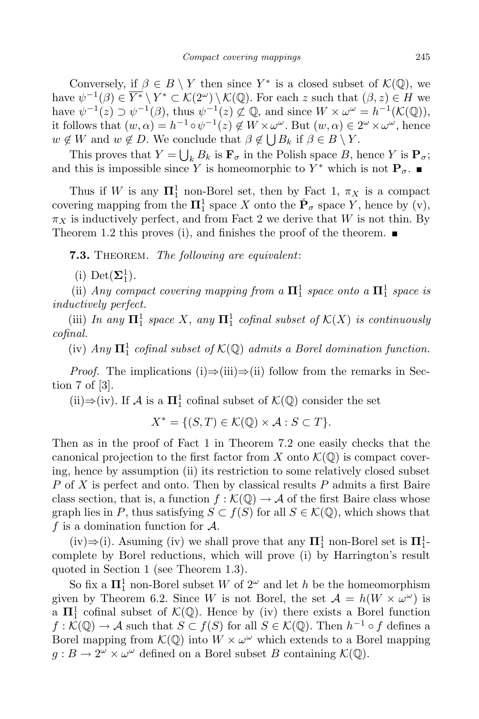Conversely, if  $\beta \in B \setminus Y$  then since  $Y^*$  is a closed subset of  $\mathcal{K}(\mathbb{Q})$ , we have  $\psi^{-1}(\beta) \in \overline{Y^*} \setminus Y^* \subset \mathcal{K}(2^\omega) \setminus \mathcal{K}(\mathbb{Q})$ . For each *z* such that  $(\beta, z) \in H$  we have  $\psi^{-1}(z) \supset \psi^{-1}(\beta)$ , thus  $\psi^{-1}(z) \not\subset \mathbb{Q}$ , and since  $W \times \omega^{\omega} = h^{-1}(\mathcal{K}(\mathbb{Q}))$ , it follows that  $(w, \alpha) = h^{-1} \circ \psi^{-1}(z) \notin W \times \omega^{\omega}$ . But  $(w, \alpha) \in 2^{\omega} \times \omega^{\omega}$ , hence  $w \notin W$  and  $w \notin D$ . We conclude that  $\beta \notin \bigcup B_k$  if  $\beta \in B \setminus Y$ .

This proves that  $Y = \bigcup_k B_k$  is  $\mathbf{F}_{\sigma}$  in the Polish space *B*, hence *Y* is  $\mathbf{P}_{\sigma}$ ; and this is impossible since *Y* is homeomorphic to  $Y^*$  which is not  $P_{\sigma}$ .

Thus if *W* is any  $\Pi_1^1$  non-Borel set, then by Fact 1,  $\pi_X$  is a compact covering mapping from the  $\Pi_1^1$  space *X* onto the  $\check{P}_\sigma$  space *Y*, hence by (v),  $\pi_X$  is inductively perfect, and from Fact 2 we derive that *W* is not thin. By Theorem 1.2 this proves (i), and finishes the proof of the theorem.  $\blacksquare$ 

**7.3.** Theorem. *The following are equivalent*:

(i) Det $(\mathbf{\Sigma}_1^1)$ .

(ii) *Any compact covering* mapping from a  $\Pi_1^1$  space onto a  $\Pi_1^1$  space is *inductively perfect.*

 $(iii)$  *In any*  $\mathbf{\Pi}^1_1$  *space X*, *any*  $\mathbf{\Pi}^1_1$  *cofinal subset of*  $\mathcal{K}(X)$  *is continuously cofinal.*

 $(iv)$  *Any*  $\Pi_1^1$  *cofinal subset of*  $K(\mathbb{Q})$  *admits a Borel domination function.* 

*Proof.* The implications (i)⇒(iii)⇒(ii) follow from the remarks in Section 7 of [3].

(ii) $\Rightarrow$ (iv). If *A* is a  $\Pi_1^1$  cofinal subset of  $K(\mathbb{Q})$  consider the set

$$
X^* = \{ (S, T) \in \mathcal{K}(\mathbb{Q}) \times \mathcal{A} : S \subset T \}.
$$

Then as in the proof of Fact 1 in Theorem 7.2 one easily checks that the canonical projection to the first factor from *X* onto  $\mathcal{K}(\mathbb{Q})$  is compact covering, hence by assumption (ii) its restriction to some relatively closed subset *P* of *X* is perfect and onto. Then by classical results *P* admits a first Baire class section, that is, a function  $f : \mathcal{K}(\mathbb{Q}) \to \mathcal{A}$  of the first Baire class whose graph lies in *P*, thus satisfying  $S \subset f(S)$  for all  $S \in \mathcal{K}(\mathbb{Q})$ , which shows that *f* is a domination function for *A*.

 $(iv) \Rightarrow (i)$ . Asuming (iv) we shall prove that any  $\Pi_1^1$  non-Borel set is  $\Pi_1^1$ complete by Borel reductions, which will prove (i) by Harrington's result quoted in Section 1 (see Theorem 1.3).

So fix a  $\Pi_1^1$  non-Borel subset *W* of  $2^{\omega}$  and let *h* be the homeomorphism given by Theorem 6.2. Since *W* is not Borel, the set  $A = h(W \times \omega^{\omega})$  is a  $\Pi_1^1$  cofinal subset of  $\mathcal{K}(\mathbb{Q})$ . Hence by (iv) there exists a Borel function *f* :  $K$ ( $\mathbb{Q}$ ) → *A* such that *S*  $\subset$  *f*(*S*) for all *S*  $\in$  *K*( $\mathbb{Q}$ ). Then *h*<sup>-1</sup> ∘ *f* defines a Borel mapping from  $K(\mathbb{Q})$  into  $W \times \omega^{\omega}$  which extends to a Borel mapping  $g: B \to 2^{\omega} \times \omega^{\omega}$  defined on a Borel subset *B* containing  $K(\mathbb{Q})$ .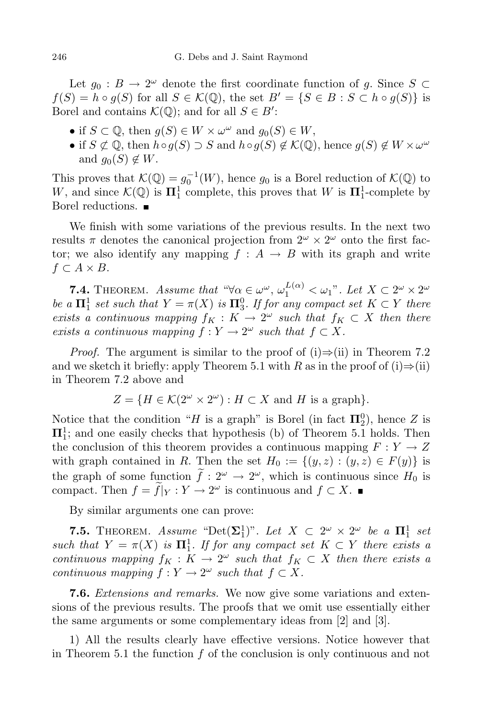Let  $g_0 : B \to 2^\omega$  denote the first coordinate function of *g*. Since  $S \subset$  $f(S) = h \circ q(S)$  for all  $S \in \mathcal{K}(\mathbb{Q})$ , the set  $B' = \{S \in B : S \subset h \circ q(S)\}\$ is Borel and contains  $K(\mathbb{Q})$ ; and for all  $S \in B'$ :

- *•* if *S* ⊂ **Q**, then  $g(S) \in W \times \omega^{\omega}$  and  $g_0(S) \in W$ ,
- *•* if *S*  $\notsubset$  **Q**, then *h*∘*g*(*S*) *⊃ S* and *h*<sup>○</sup>*g*(*S*)  $\notin$  *K*(**Q**), hence *g*(*S*)  $\notin$  *W* ×  $\omega^{\omega}$ and  $g_0(S) \notin W$ .

This proves that  $\mathcal{K}(\mathbb{Q}) = g_0^{-1}(W)$ , hence  $g_0$  is a Borel reduction of  $\mathcal{K}(\mathbb{Q})$  to *W*, and since  $\mathcal{K}(\mathbb{Q})$  is  $\Pi_1^1$  complete, this proves that *W* is  $\Pi_1^1$ -complete by Borel reductions.

We finish with some variations of the previous results. In the next two results  $\pi$  denotes the canonical projection from  $2^{\omega} \times 2^{\omega}$  onto the first factor; we also identify any mapping  $f : A \rightarrow B$  with its graph and write *f ⊂ A × B*.

**7.4.** THEOREM. Assume that  $\mathscr{A}(\alpha) \in \omega^{\omega}$ ,  $\omega_1^{L(\alpha)} < \omega_1$ ". Let  $X \subset 2^{\omega} \times 2^{\omega}$ *be a*  $\Pi_1^1$  *set such that*  $Y = \pi(X)$  *is*  $\Pi_3^0$ *. If for any compact set*  $K \subset Y$  *there exists a continuous* mapping  $f_K : K \to 2^\omega$  *such* that  $f_K \subset X$  then there *exists a continuous mapping*  $f: Y \to 2^{\omega}$  *such that*  $f \subset X$ *.* 

*Proof.* The argument is similar to the proof of (i)*⇒*(ii) in Theorem 7.2 and we sketch it briefly: apply Theorem 5.1 with *R* as in the proof of  $(i) \Rightarrow (ii)$ in Theorem 7.2 above and

$$
Z = \{ H \in \mathcal{K}(2^{\omega} \times 2^{\omega}) : H \subset X \text{ and } H \text{ is a graph} \}.
$$

Notice that the condition "*H* is a graph" is Borel (in fact  $\Pi_2^0$ ), hence *Z* is **Π**<sup>1</sup> 1 ; and one easily checks that hypothesis (b) of Theorem 5.1 holds. Then the conclusion of this theorem provides a continuous mapping  $F: Y \to Z$ with graph contained in *R*. Then the set  $H_0 := \{(y, z) : (y, z) \in F(y)\}\$ is the graph of some function  $f: 2^{\omega} \to 2^{\omega}$ , which is continuous since  $H_0$  is compact. Then  $f = f|_Y : Y \to 2^\omega$  is continuous and  $f \subset X$ .

By similar arguments one can prove:

**7.5.** THEOREM. *Assume* "Det( $\Sigma_1^1$ )". Let  $X \subset 2^{\omega} \times 2^{\omega}$  be a  $\Pi_1^1$  set *such that*  $Y = \pi(X)$  *is*  $\Pi_1^1$ *. If for any compact set*  $K \subset Y$  *there exists a continuous* mapping  $f_K : K \to 2^\omega$  *such that*  $f_K \subset X$  *then there exists* a *continuous mapping*  $f: Y \to 2^{\omega}$  *such that*  $f \subset X$ *.* 

**7.6.** *Extensions and remarks.* We now give some variations and extensions of the previous results. The proofs that we omit use essentially either the same arguments or some complementary ideas from [2] and [3].

1) All the results clearly have effective versions. Notice however that in Theorem 5.1 the function *f* of the conclusion is only continuous and not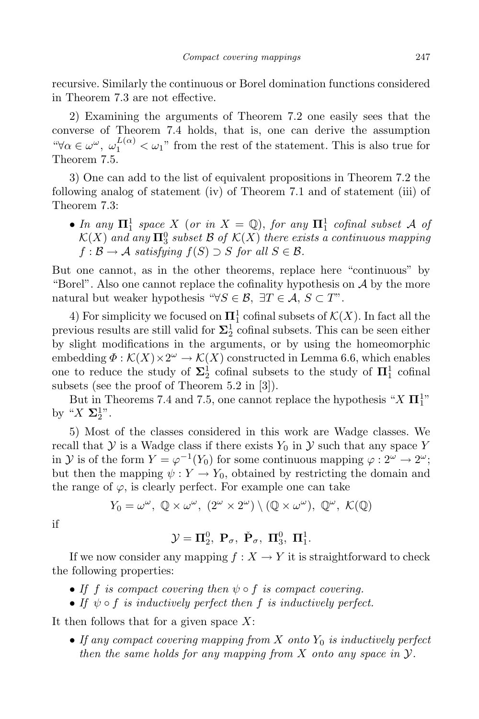recursive. Similarly the continuous or Borel domination functions considered in Theorem 7.3 are not effective.

2) Examining the arguments of Theorem 7.2 one easily sees that the converse of Theorem 7.4 holds, that is, one can derive the assumption <sup>*u*</sup>∀*α* ∈ *ω*<sup>ω</sup>,  $\omega_1^{L(\alpha)}$  < *ω*<sub>1</sub>" from the rest of the statement. This is also true for Theorem 7.5.

3) One can add to the list of equivalent propositions in Theorem 7.2 the following analog of statement (iv) of Theorem 7.1 and of statement (iii) of Theorem 7.3:

• *In any*  $\Pi_1^1$  *space X* (*or in*  $X = \mathbb{Q}$ ), *for any*  $\Pi_1^1$  *cofinal subset A of*  $K(X)$  *and any*  $\Pi_3^0$  *subset*  $B$  *of*  $K(X)$  *there exists a continuous mapping*  $f : \mathcal{B} \to \mathcal{A}$  *satisfying*  $f(S) \supset S$  *for all*  $S \in \mathcal{B}$ *.* 

But one cannot, as in the other theorems, replace here "continuous" by "Borel". Also one cannot replace the cofinality hypothesis on  $A$  by the more natural but weaker hypothesis " $\forall S \in \mathcal{B}, \exists T \in \mathcal{A}, S \subset T$ ".

4) For simplicity we focused on  $\Pi_1^1$  cofinal subsets of  $\mathcal{K}(X)$ . In fact all the previous results are still valid for  $\Sigma^1_2$  cofinal subsets. This can be seen either by slight modifications in the arguments, or by using the homeomorphic embedding  $\Phi : \mathcal{K}(X) \times 2^{\omega} \to \mathcal{K}(X)$  constructed in Lemma 6.6, which enables one to reduce the study of  $\Sigma^1_2$  cofinal subsets to the study of  $\Pi^1_1$  cofinal subsets (see the proof of Theorem 5.2 in [3]).

But in Theorems 7.4 and 7.5, one cannot replace the hypothesis " $X \prod_{1}^{1}$ " by " $X\Sigma_2^{1}$ ".

5) Most of the classes considered in this work are Wadge classes. We recall that  $Y$  is a Wadge class if there exists  $Y_0$  in  $Y$  such that any space  $Y$ in *Y* is of the form  $Y = \varphi^{-1}(Y_0)$  for some continuous mapping  $\varphi : 2^{\omega} \to 2^{\omega}$ ; but then the mapping  $\psi: Y \to Y_0$ , obtained by restricting the domain and the range of  $\varphi$ , is clearly perfect. For example one can take

$$
Y_0 = \omega^{\omega}, \ \mathbb{Q} \times \omega^{\omega}, \ (2^{\omega} \times 2^{\omega}) \setminus (\mathbb{Q} \times \omega^{\omega}), \ \mathbb{Q}^{\omega}, \ \mathcal{K}(\mathbb{Q})
$$

if

# $\mathcal{Y} = \Pi_2^0, \ \mathbf{P}_\sigma, \ \check{\mathbf{P}}_\sigma, \ \Pi_3^0, \ \Pi_1^1.$

If we now consider any mapping  $f : X \to Y$  it is straightforward to check the following properties:

- *• If f is compact covering then ψ ◦ f is compact covering.*
- *• If ψ ◦ f is inductively perfect then f is inductively perfect.*

It then follows that for a given space *X*:

*• If any compact covering mapping from X onto Y*<sup>0</sup> *is inductively perfect then the same holds for any mapping from X onto any space in Y.*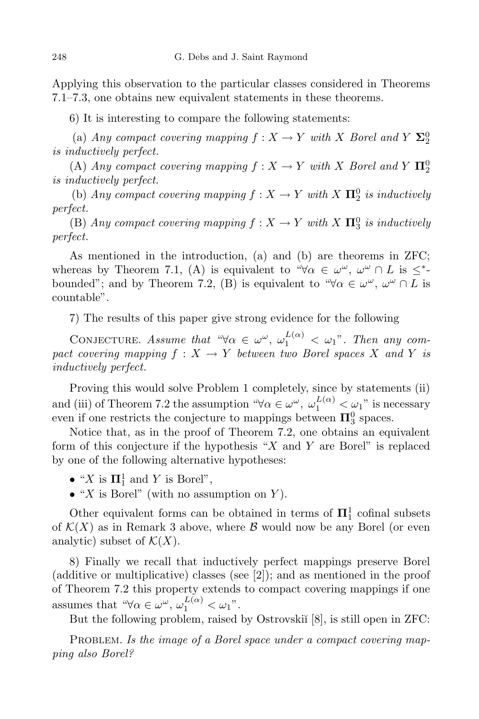Applying this observation to the particular classes considered in Theorems 7.1–7.3, one obtains new equivalent statements in these theorems.

6) It is interesting to compare the following statements:

(a) *Any compact covering* mapping  $f : X \to Y$  *with X Borel* and  $Y \Sigma_2^0$ *is inductively perfect.*

 $(A)$  *Any compact covering mapping*  $f: X \rightarrow Y$  *with X Borel and*  $Y$   $\Pi_2^0$ *is inductively perfect.*

(b) *Any compact covering mapping*  $f: X \to Y$  *with*  $X \Pi_2^0$  *is inductively perfect.*

 $(E)$  *Any compact covering mapping*  $f: X \to Y$  *with*  $X \Pi_3^0$  *is inductively perfect.*

As mentioned in the introduction, (a) and (b) are theorems in ZFC; whereas by Theorem 7.1, (A) is equivalent to " $\forall \alpha \in \omega^{\omega}, \omega^{\omega} \cap L$  is  $\leq^*$ bounded"; and by Theorem 7.2, (B) is equivalent to " $\forall \alpha \in \omega^{\omega}, \omega^{\omega} \cap L$  is countable".

7) The results of this paper give strong evidence for the following

CONJECTURE. Assume that " $\forall \alpha \in \omega^{\omega}, \omega_1^{L(\alpha)} < \omega_1$ ". Then any com*pact covering mapping*  $f: X \to Y$  *between two Borel spaces X and Y is inductively perfect.*

Proving this would solve Problem 1 completely, since by statements (ii) and (iii) of Theorem 7.2 the assumption " $\forall \alpha \in \omega^\omega$ ,  $\omega_1^{L(\alpha)} \leq \omega_1$ " is necessary even if one restricts the conjecture to mappings between  $\Pi^0_3$  spaces.

Notice that, as in the proof of Theorem 7.2, one obtains an equivalent form of this conjecture if the hypothesis "*X* and *Y* are Borel" is replaced by one of the following alternative hypotheses:

- "*X* is  $\Pi_1^1$  and *Y* is Borel",
- *•* "*X* is Borel" (with no assumption on *Y* ).

Other equivalent forms can be obtained in terms of  $\Pi_1^1$  cofinal subsets of  $\mathcal{K}(X)$  as in Remark 3 above, where  $\mathcal{B}$  would now be any Borel (or even analytic) subset of  $\mathcal{K}(X)$ .

8) Finally we recall that inductively perfect mappings preserve Borel (additive or multiplicative) classes (see [2]); and as mentioned in the proof of Theorem 7.2 this property extends to compact covering mappings if one assumes that " $\forall \alpha \in \omega^{\omega}, \omega_1^{L(\alpha)} < \omega_1$ ".

But the following problem, raised by Ostrovskii<sup>[8]</sup>, is still open in ZFC:

PROBLEM. Is the *image* of a Borel space under a compact covering map*ping also Borel?*